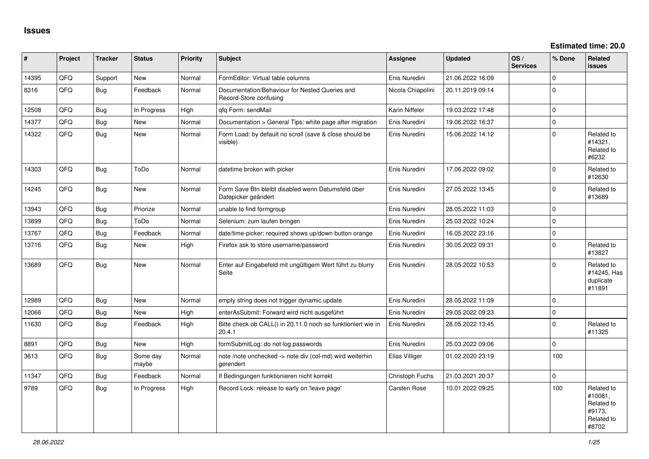| ∣#    | Project | <b>Tracker</b> | <b>Status</b>     | <b>Priority</b> | <b>Subject</b>                                                            | Assignee          | <b>Updated</b>   | OS/<br><b>Services</b> | % Done      | Related<br><b>issues</b>                                             |
|-------|---------|----------------|-------------------|-----------------|---------------------------------------------------------------------------|-------------------|------------------|------------------------|-------------|----------------------------------------------------------------------|
| 14395 | QFQ     | Support        | <b>New</b>        | Normal          | FormEditor: Virtual table columns                                         | Enis Nuredini     | 21.06.2022 16:09 |                        | $\Omega$    |                                                                      |
| 8316  | QFQ     | Bug            | Feedback          | Normal          | Documentation/Behaviour for Nested Queries and<br>Record-Store confusing  | Nicola Chiapolini | 20.11.2019 09:14 |                        | $\mathbf 0$ |                                                                      |
| 12508 | QFQ     | Bug            | In Progress       | High            | qfq Form: sendMail                                                        | Karin Niffeler    | 19.03.2022 17:48 |                        | $\mathbf 0$ |                                                                      |
| 14377 | QFQ     | Bug            | <b>New</b>        | Normal          | Documentation > General Tips: white page after migration                  | Enis Nuredini     | 19.06.2022 16:37 |                        | $\mathbf 0$ |                                                                      |
| 14322 | QFQ     | <b>Bug</b>     | New               | Normal          | Form Load: by default no scroll (save & close should be<br>visible)       | Enis Nuredini     | 15.06.2022 14:12 |                        | $\mathbf 0$ | Related to<br>#14321,<br>Related to<br>#6232                         |
| 14303 | QFQ     | Bug            | ToDo              | Normal          | datetime broken with picker                                               | Enis Nuredini     | 17.06.2022 09:02 |                        | $\Omega$    | Related to<br>#12630                                                 |
| 14245 | QFQ     | Bug            | <b>New</b>        | Normal          | Form Save Btn bleibt disabled wenn Datumsfeld über<br>Datepicker geändert | Enis Nuredini     | 27.05.2022 13:45 |                        | $\Omega$    | Related to<br>#13689                                                 |
| 13943 | QFQ     | Bug            | Priorize          | Normal          | unable to find formgroup                                                  | Enis Nuredini     | 28.05.2022 11:03 |                        | $\Omega$    |                                                                      |
| 13899 | QFQ     | Bug            | ToDo              | Normal          | Selenium: zum laufen bringen                                              | Enis Nuredini     | 25.03.2022 10:24 |                        | $\mathbf 0$ |                                                                      |
| 13767 | QFQ     | Bug            | Feedback          | Normal          | date/time-picker: required shows up/down button orange                    | Enis Nuredini     | 16.05.2022 23:16 |                        | $\pmb{0}$   |                                                                      |
| 13716 | QFQ     | Bug            | <b>New</b>        | High            | Firefox ask to store username/password                                    | Enis Nuredini     | 30.05.2022 09:31 |                        | $\mathbf 0$ | Related to<br>#13827                                                 |
| 13689 | QFQ     | Bug            | <b>New</b>        | Normal          | Enter auf Eingabefeld mit ungültigem Wert führt zu blurry<br>Seite        | Enis Nuredini     | 28.05.2022 10:53 |                        | $\Omega$    | Related to<br>#14245, Has<br>duplicate<br>#11891                     |
| 12989 | QFQ     | Bug            | <b>New</b>        | Normal          | empty string does not trigger dynamic update                              | Enis Nuredini     | 28.05.2022 11:09 |                        | $\Omega$    |                                                                      |
| 12066 | QFQ     | Bug            | <b>New</b>        | High            | enterAsSubmit: Forward wird nicht ausgeführt                              | Enis Nuredini     | 29.05.2022 09:23 |                        | $\mathbf 0$ |                                                                      |
| 11630 | QFQ     | <b>Bug</b>     | Feedback          | High            | Bitte check ob CALL() in 20.11.0 noch so funktioniert wie in<br>20.4.1    | Enis Nuredini     | 28.05.2022 13:45 |                        | $\mathbf 0$ | Related to<br>#11325                                                 |
| 8891  | QFQ     | Bug            | <b>New</b>        | High            | formSubmitLog: do not log passwords                                       | Enis Nuredini     | 25.03.2022 09:06 |                        | $\mathbf 0$ |                                                                      |
| 3613  | QFQ     | <b>Bug</b>     | Some day<br>maybe | Normal          | note /note unchecked -> note div (col-md) wird weiterhin<br>gerendert     | Elias Villiger    | 01.02.2020 23:19 |                        | 100         |                                                                      |
| 11347 | QFQ     | Bug            | Feedback          | Normal          | If Bedingungen funktionieren nicht korrekt                                | Christoph Fuchs   | 21.03.2021 20:37 |                        | $\mathbf 0$ |                                                                      |
| 9789  | QFQ     | Bug            | In Progress       | High            | Record Lock: release to early on 'leave page'                             | Carsten Rose      | 10.01.2022 09:25 |                        | 100         | Related to<br>#10081,<br>Related to<br>#9173,<br>Related to<br>#8702 |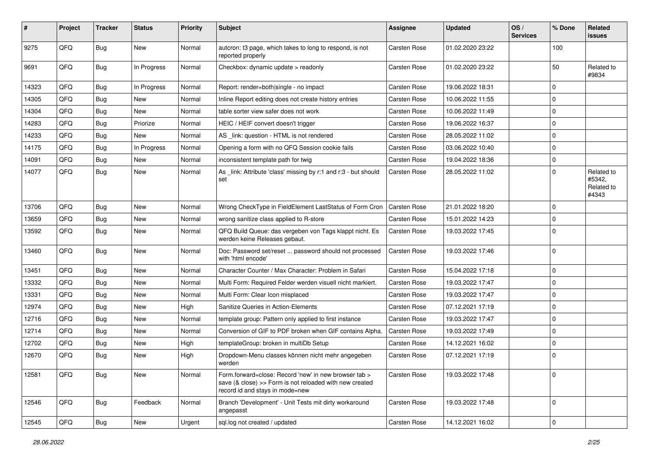| #     | Project | <b>Tracker</b> | <b>Status</b> | <b>Priority</b> | <b>Subject</b>                                                                                                                                      | Assignee     | <b>Updated</b>   | OS/<br><b>Services</b> | % Done              | Related<br><b>issues</b>                    |
|-------|---------|----------------|---------------|-----------------|-----------------------------------------------------------------------------------------------------------------------------------------------------|--------------|------------------|------------------------|---------------------|---------------------------------------------|
| 9275  | QFQ     | <b>Bug</b>     | New           | Normal          | autcron: t3 page, which takes to long to respond, is not<br>reported properly                                                                       | Carsten Rose | 01.02.2020 23:22 |                        | 100                 |                                             |
| 9691  | QFQ     | Bug            | In Progress   | Normal          | Checkbox: dynamic update > readonly                                                                                                                 | Carsten Rose | 01.02.2020 23:22 |                        | 50                  | Related to<br>#9834                         |
| 14323 | QFQ     | Bug            | In Progress   | Normal          | Report: render=both single - no impact                                                                                                              | Carsten Rose | 19.06.2022 18:31 |                        | $\mathbf 0$         |                                             |
| 14305 | QFQ     | <b>Bug</b>     | <b>New</b>    | Normal          | Inline Report editing does not create history entries                                                                                               | Carsten Rose | 10.06.2022 11:55 |                        | $\pmb{0}$           |                                             |
| 14304 | QFQ     | Bug            | New           | Normal          | table sorter view safer does not work                                                                                                               | Carsten Rose | 10.06.2022 11:49 |                        | $\mathbf 0$         |                                             |
| 14283 | QFQ     | <b>Bug</b>     | Priorize      | Normal          | HEIC / HEIF convert doesn't trigger                                                                                                                 | Carsten Rose | 19.06.2022 16:37 |                        | $\mathbf 0$         |                                             |
| 14233 | QFQ     | <b>Bug</b>     | New           | Normal          | AS _link: question - HTML is not rendered                                                                                                           | Carsten Rose | 28.05.2022 11:02 |                        | $\mathbf 0$         |                                             |
| 14175 | QFQ     | Bug            | In Progress   | Normal          | Opening a form with no QFQ Session cookie fails                                                                                                     | Carsten Rose | 03.06.2022 10:40 |                        | $\mathbf 0$         |                                             |
| 14091 | QFQ     | Bug            | New           | Normal          | inconsistent template path for twig                                                                                                                 | Carsten Rose | 19.04.2022 18:36 |                        | $\mathbf 0$         |                                             |
| 14077 | QFQ     | <b>Bug</b>     | New           | Normal          | As _link: Attribute 'class' missing by r:1 and r:3 - but should<br>set                                                                              | Carsten Rose | 28.05.2022 11:02 |                        | $\mathbf 0$         | Related to<br>#5342,<br>Related to<br>#4343 |
| 13706 | QFQ     | Bug            | New           | Normal          | Wrong CheckType in FieldElement LastStatus of Form Cron                                                                                             | Carsten Rose | 21.01.2022 18:20 |                        | $\mathbf 0$         |                                             |
| 13659 | QFQ     | <b>Bug</b>     | <b>New</b>    | Normal          | wrong sanitize class applied to R-store                                                                                                             | Carsten Rose | 15.01.2022 14:23 |                        | $\mathbf 0$         |                                             |
| 13592 | QFQ     | Bug            | New           | Normal          | QFQ Build Queue: das vergeben von Tags klappt nicht. Es<br>werden keine Releases gebaut.                                                            | Carsten Rose | 19.03.2022 17:45 |                        | $\mathbf 0$         |                                             |
| 13460 | QFQ     | Bug            | New           | Normal          | Doc: Password set/reset  password should not processed<br>with 'html encode'                                                                        | Carsten Rose | 19.03.2022 17:46 |                        | $\mathbf 0$         |                                             |
| 13451 | QFQ     | <b>Bug</b>     | New           | Normal          | Character Counter / Max Character: Problem in Safari                                                                                                | Carsten Rose | 15.04.2022 17:18 |                        | $\mathbf 0$         |                                             |
| 13332 | QFQ     | Bug            | New           | Normal          | Multi Form: Required Felder werden visuell nicht markiert.                                                                                          | Carsten Rose | 19.03.2022 17:47 |                        | $\mathbf 0$         |                                             |
| 13331 | QFQ     | Bug            | New           | Normal          | Multi Form: Clear Icon misplaced                                                                                                                    | Carsten Rose | 19.03.2022 17:47 |                        | $\mathbf 0$         |                                             |
| 12974 | QFQ     | <b>Bug</b>     | <b>New</b>    | High            | Sanitize Queries in Action-Elements                                                                                                                 | Carsten Rose | 07.12.2021 17:19 |                        | $\mathbf 0$         |                                             |
| 12716 | QFQ     | <b>Bug</b>     | New           | Normal          | template group: Pattern only applied to first instance                                                                                              | Carsten Rose | 19.03.2022 17:47 |                        | $\mathbf 0$         |                                             |
| 12714 | QFQ     | Bug            | New           | Normal          | Conversion of GIF to PDF broken when GIF contains Alpha.                                                                                            | Carsten Rose | 19.03.2022 17:49 |                        | $\mathbf 0$         |                                             |
| 12702 | QFQ     | Bug            | New           | High            | templateGroup: broken in multiDb Setup                                                                                                              | Carsten Rose | 14.12.2021 16:02 |                        | $\mathbf 0$         |                                             |
| 12670 | QFQ     | <b>Bug</b>     | New           | High            | Dropdown-Menu classes können nicht mehr angegeben<br>werden                                                                                         | Carsten Rose | 07.12.2021 17:19 |                        | $\mathbf 0$         |                                             |
| 12581 | QFQ     | <b>Bug</b>     | New           | Normal          | Form.forward=close: Record 'new' in new browser tab ><br>save (& close) >> Form is not reloaded with new created<br>record id and stays in mode=new | Carsten Rose | 19.03.2022 17:48 |                        | $\mathbf 0$         |                                             |
| 12546 | QFQ     | <b>Bug</b>     | Feedback      | Normal          | Branch 'Development' - Unit Tests mit dirty workaround<br>angepasst                                                                                 | Carsten Rose | 19.03.2022 17:48 |                        | $\mathbf 0$         |                                             |
| 12545 | QFQ     | <b>Bug</b>     | New           | Urgent          | sql.log not created / updated                                                                                                                       | Carsten Rose | 14.12.2021 16:02 |                        | $\mathsf{O}\xspace$ |                                             |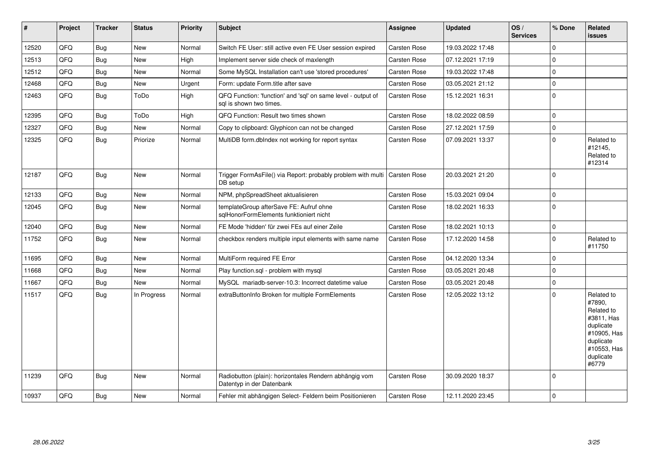| #     | Project | <b>Tracker</b> | <b>Status</b> | <b>Priority</b> | <b>Subject</b>                                                                          | <b>Assignee</b>     | <b>Updated</b>   | OS/<br><b>Services</b> | % Done      | Related<br><b>issues</b>                                                                                                       |
|-------|---------|----------------|---------------|-----------------|-----------------------------------------------------------------------------------------|---------------------|------------------|------------------------|-------------|--------------------------------------------------------------------------------------------------------------------------------|
| 12520 | QFQ     | Bug            | New           | Normal          | Switch FE User: still active even FE User session expired                               | Carsten Rose        | 19.03.2022 17:48 |                        | $\mathbf 0$ |                                                                                                                                |
| 12513 | QFQ     | <b>Bug</b>     | <b>New</b>    | High            | Implement server side check of maxlength                                                | Carsten Rose        | 07.12.2021 17:19 |                        | $\mathbf 0$ |                                                                                                                                |
| 12512 | QFQ     | <b>Bug</b>     | New           | Normal          | Some MySQL Installation can't use 'stored procedures'                                   | Carsten Rose        | 19.03.2022 17:48 |                        | $\mathbf 0$ |                                                                                                                                |
| 12468 | QFQ     | <b>Bug</b>     | New           | Urgent          | Form: update Form.title after save                                                      | Carsten Rose        | 03.05.2021 21:12 |                        | $\mathbf 0$ |                                                                                                                                |
| 12463 | QFQ     | <b>Bug</b>     | ToDo          | High            | QFQ Function: 'function' and 'sql' on same level - output of<br>sal is shown two times. | <b>Carsten Rose</b> | 15.12.2021 16:31 |                        | $\mathbf 0$ |                                                                                                                                |
| 12395 | QFQ     | <b>Bug</b>     | ToDo          | High            | QFQ Function: Result two times shown                                                    | Carsten Rose        | 18.02.2022 08:59 |                        | $\mathbf 0$ |                                                                                                                                |
| 12327 | QFQ     | <b>Bug</b>     | New           | Normal          | Copy to clipboard: Glyphicon can not be changed                                         | Carsten Rose        | 27.12.2021 17:59 |                        | $\mathbf 0$ |                                                                                                                                |
| 12325 | QFQ     | <b>Bug</b>     | Priorize      | Normal          | MultiDB form.dblndex not working for report syntax                                      | Carsten Rose        | 07.09.2021 13:37 |                        | $\mathbf 0$ | Related to<br>#12145,<br>Related to<br>#12314                                                                                  |
| 12187 | QFQ     | <b>Bug</b>     | <b>New</b>    | Normal          | Trigger FormAsFile() via Report: probably problem with multi<br>DB setup                | Carsten Rose        | 20.03.2021 21:20 |                        | $\mathbf 0$ |                                                                                                                                |
| 12133 | QFQ     | <b>Bug</b>     | <b>New</b>    | Normal          | NPM, phpSpreadSheet aktualisieren                                                       | Carsten Rose        | 15.03.2021 09:04 |                        | $\Omega$    |                                                                                                                                |
| 12045 | QFQ     | <b>Bug</b>     | <b>New</b>    | Normal          | templateGroup afterSave FE: Aufruf ohne<br>sglHonorFormElements funktioniert nicht      | Carsten Rose        | 18.02.2021 16:33 |                        | $\mathbf 0$ |                                                                                                                                |
| 12040 | QFQ     | <b>Bug</b>     | New           | Normal          | FE Mode 'hidden' für zwei FEs auf einer Zeile                                           | Carsten Rose        | 18.02.2021 10:13 |                        | $\pmb{0}$   |                                                                                                                                |
| 11752 | QFQ     | Bug            | New           | Normal          | checkbox renders multiple input elements with same name                                 | Carsten Rose        | 17.12.2020 14:58 |                        | $\mathbf 0$ | Related to<br>#11750                                                                                                           |
| 11695 | QFQ     | <b>Bug</b>     | <b>New</b>    | Normal          | MultiForm required FE Error                                                             | Carsten Rose        | 04.12.2020 13:34 |                        | $\mathbf 0$ |                                                                                                                                |
| 11668 | QFQ     | <b>Bug</b>     | New           | Normal          | Play function.sql - problem with mysql                                                  | Carsten Rose        | 03.05.2021 20:48 |                        | $\mathbf 0$ |                                                                                                                                |
| 11667 | QFQ     | <b>Bug</b>     | New           | Normal          | MySQL mariadb-server-10.3: Incorrect datetime value                                     | Carsten Rose        | 03.05.2021 20:48 |                        | $\mathbf 0$ |                                                                                                                                |
| 11517 | QFQ     | <b>Bug</b>     | In Progress   | Normal          | extraButtonInfo Broken for multiple FormElements                                        | Carsten Rose        | 12.05.2022 13:12 |                        | $\mathbf 0$ | Related to<br>#7890.<br>Related to<br>#3811, Has<br>duplicate<br>#10905, Has<br>duplicate<br>#10553, Has<br>duplicate<br>#6779 |
| 11239 | QFQ     | Bug            | New           | Normal          | Radiobutton (plain): horizontales Rendern abhängig vom<br>Datentyp in der Datenbank     | Carsten Rose        | 30.09.2020 18:37 |                        | $\mathbf 0$ |                                                                                                                                |
| 10937 | QFQ     | <b>Bug</b>     | New           | Normal          | Fehler mit abhängigen Select- Feldern beim Positionieren                                | Carsten Rose        | 12.11.2020 23:45 |                        | $\mathbf 0$ |                                                                                                                                |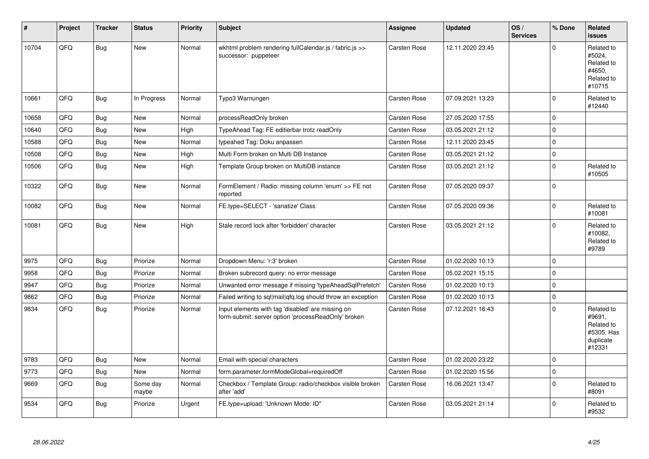| #     | Project | <b>Tracker</b> | <b>Status</b>     | <b>Priority</b> | <b>Subject</b>                                                                                           | <b>Assignee</b>     | <b>Updated</b>   | OS/<br><b>Services</b> | % Done      | Related<br><b>issues</b>                                                |
|-------|---------|----------------|-------------------|-----------------|----------------------------------------------------------------------------------------------------------|---------------------|------------------|------------------------|-------------|-------------------------------------------------------------------------|
| 10704 | QFQ     | <b>Bug</b>     | <b>New</b>        | Normal          | wkhtml problem rendering fullCalendar.js / fabric.js >><br>successor: puppeteer                          | Carsten Rose        | 12.11.2020 23:45 |                        | $\mathbf 0$ | Related to<br>#5024,<br>Related to<br>#4650,<br>Related to<br>#10715    |
| 10661 | QFQ     | Bug            | In Progress       | Normal          | Typo3 Warnungen                                                                                          | Carsten Rose        | 07.09.2021 13:23 |                        | $\mathbf 0$ | Related to<br>#12440                                                    |
| 10658 | QFQ     | <b>Bug</b>     | New               | Normal          | processReadOnly broken                                                                                   | Carsten Rose        | 27.05.2020 17:55 |                        | $\mathbf 0$ |                                                                         |
| 10640 | QFQ     | <b>Bug</b>     | New               | High            | TypeAhead Tag: FE editierbar trotz readOnly                                                              | Carsten Rose        | 03.05.2021 21:12 |                        | $\mathbf 0$ |                                                                         |
| 10588 | QFQ     | <b>Bug</b>     | <b>New</b>        | Normal          | typeahed Tag: Doku anpassen                                                                              | Carsten Rose        | 12.11.2020 23:45 |                        | $\mathbf 0$ |                                                                         |
| 10508 | QFQ     | <b>Bug</b>     | <b>New</b>        | High            | Multi Form broken on Multi DB Instance                                                                   | Carsten Rose        | 03.05.2021 21:12 |                        | $\mathbf 0$ |                                                                         |
| 10506 | QFQ     | <b>Bug</b>     | New               | High            | Template Group broken on MultiDB instance                                                                | Carsten Rose        | 03.05.2021 21:12 |                        | $\pmb{0}$   | Related to<br>#10505                                                    |
| 10322 | QFQ     | <b>Bug</b>     | <b>New</b>        | Normal          | FormElement / Radio: missing column 'enum' >> FE not<br>reported                                         | Carsten Rose        | 07.05.2020 09:37 |                        | $\mathbf 0$ |                                                                         |
| 10082 | QFQ     | <b>Bug</b>     | New               | Normal          | FE.type=SELECT - 'sanatize' Class                                                                        | Carsten Rose        | 07.05.2020 09:36 |                        | $\mathbf 0$ | Related to<br>#10081                                                    |
| 10081 | QFQ     | <b>Bug</b>     | <b>New</b>        | High            | Stale record lock after 'forbidden' character                                                            | <b>Carsten Rose</b> | 03.05.2021 21:12 |                        | $\Omega$    | Related to<br>#10082,<br>Related to<br>#9789                            |
| 9975  | QFQ     | <b>Bug</b>     | Priorize          | Normal          | Dropdown Menu: 'r:3' broken                                                                              | Carsten Rose        | 01.02.2020 10:13 |                        | $\mathbf 0$ |                                                                         |
| 9958  | QFQ     | <b>Bug</b>     | Priorize          | Normal          | Broken subrecord query: no error message                                                                 | Carsten Rose        | 05.02.2021 15:15 |                        | $\mathbf 0$ |                                                                         |
| 9947  | QFQ     | <b>Bug</b>     | Priorize          | Normal          | Unwanted error message if missing 'typeAheadSqlPrefetch'                                                 | <b>Carsten Rose</b> | 01.02.2020 10:13 |                        | $\mathbf 0$ |                                                                         |
| 9862  | QFQ     | <b>Bug</b>     | Priorize          | Normal          | Failed writing to sql mail qfq.log should throw an exception                                             | Carsten Rose        | 01.02.2020 10:13 |                        | $\mathbf 0$ |                                                                         |
| 9834  | QFQ     | <b>Bug</b>     | Priorize          | Normal          | Input elements with tag 'disabled' are missing on<br>form-submit: server option 'processReadOnly' broken | Carsten Rose        | 07.12.2021 16:43 |                        | $\Omega$    | Related to<br>#9691,<br>Related to<br>#5305, Has<br>duplicate<br>#12331 |
| 9783  | QFQ     | <b>Bug</b>     | New               | Normal          | Email with special characters                                                                            | Carsten Rose        | 01.02.2020 23:22 |                        | $\pmb{0}$   |                                                                         |
| 9773  | QFQ     | <b>Bug</b>     | New               | Normal          | form.parameter.formModeGlobal=requiredOff                                                                | Carsten Rose        | 01.02.2020 15:56 |                        | $\pmb{0}$   |                                                                         |
| 9669  | QFQ     | <b>Bug</b>     | Some day<br>maybe | Normal          | Checkbox / Template Group: radio/checkbox visible broken<br>after 'add'                                  | <b>Carsten Rose</b> | 16.06.2021 13:47 |                        | $\mathbf 0$ | Related to<br>#8091                                                     |
| 9534  | QFQ     | <b>Bug</b>     | Priorize          | Urgent          | FE.type=upload: 'Unknown Mode: ID"                                                                       | Carsten Rose        | 03.05.2021 21:14 |                        | $\Omega$    | Related to<br>#9532                                                     |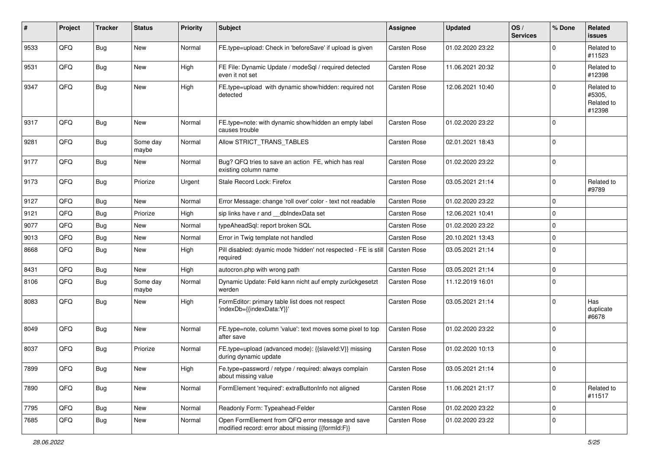| $\sharp$ | Project | <b>Tracker</b> | <b>Status</b>     | <b>Priority</b> | <b>Subject</b>                                                                                        | <b>Assignee</b> | <b>Updated</b>   | OS/<br><b>Services</b> | % Done      | Related<br>issues                            |
|----------|---------|----------------|-------------------|-----------------|-------------------------------------------------------------------------------------------------------|-----------------|------------------|------------------------|-------------|----------------------------------------------|
| 9533     | QFQ     | Bug            | <b>New</b>        | Normal          | FE.type=upload: Check in 'beforeSave' if upload is given                                              | Carsten Rose    | 01.02.2020 23:22 |                        | $\Omega$    | Related to<br>#11523                         |
| 9531     | QFQ     | Bug            | New               | High            | FE File: Dynamic Update / modeSql / required detected<br>even it not set                              | Carsten Rose    | 11.06.2021 20:32 |                        | 0           | Related to<br>#12398                         |
| 9347     | QFQ     | <b>Bug</b>     | <b>New</b>        | High            | FE.type=upload with dynamic show/hidden: required not<br>detected                                     | Carsten Rose    | 12.06.2021 10:40 |                        | $\Omega$    | Related to<br>#5305,<br>Related to<br>#12398 |
| 9317     | QFQ     | <b>Bug</b>     | New               | Normal          | FE.type=note: with dynamic show/hidden an empty label<br>causes trouble                               | Carsten Rose    | 01.02.2020 23:22 |                        | $\Omega$    |                                              |
| 9281     | QFQ     | <b>Bug</b>     | Some day<br>maybe | Normal          | Allow STRICT_TRANS_TABLES                                                                             | Carsten Rose    | 02.01.2021 18:43 |                        | $\Omega$    |                                              |
| 9177     | QFQ     | Bug            | New               | Normal          | Bug? QFQ tries to save an action FE, which has real<br>existing column name                           | Carsten Rose    | 01.02.2020 23:22 |                        | $\mathbf 0$ |                                              |
| 9173     | QFQ     | <b>Bug</b>     | Priorize          | Urgent          | Stale Record Lock: Firefox                                                                            | Carsten Rose    | 03.05.2021 21:14 |                        | $\Omega$    | Related to<br>#9789                          |
| 9127     | QFQ     | <b>Bug</b>     | New               | Normal          | Error Message: change 'roll over' color - text not readable                                           | Carsten Rose    | 01.02.2020 23:22 |                        | $\mathbf 0$ |                                              |
| 9121     | QFQ     | <b>Bug</b>     | Priorize          | High            | sip links have r and __dbIndexData set                                                                | Carsten Rose    | 12.06.2021 10:41 |                        | 0           |                                              |
| 9077     | QFQ     | Bug            | New               | Normal          | typeAheadSql: report broken SQL                                                                       | Carsten Rose    | 01.02.2020 23:22 |                        | 0           |                                              |
| 9013     | QFQ     | Bug            | <b>New</b>        | Normal          | Error in Twig template not handled                                                                    | Carsten Rose    | 20.10.2021 13:43 |                        | $\mathbf 0$ |                                              |
| 8668     | QFQ     | Bug            | New               | High            | Pill disabled: dyamic mode 'hidden' not respected - FE is still<br>required                           | Carsten Rose    | 03.05.2021 21:14 |                        | $\Omega$    |                                              |
| 8431     | QFQ     | <b>Bug</b>     | <b>New</b>        | High            | autocron.php with wrong path                                                                          | Carsten Rose    | 03.05.2021 21:14 |                        | $\mathbf 0$ |                                              |
| 8106     | QFQ     | <b>Bug</b>     | Some day<br>maybe | Normal          | Dynamic Update: Feld kann nicht auf empty zurückgesetzt<br>werden                                     | Carsten Rose    | 11.12.2019 16:01 |                        | $\Omega$    |                                              |
| 8083     | QFQ     | <b>Bug</b>     | New               | High            | FormEditor: primary table list does not respect<br>'indexDb={{indexData:Y}}'                          | Carsten Rose    | 03.05.2021 21:14 |                        | $\Omega$    | Has<br>duplicate<br>#6678                    |
| 8049     | QFQ     | Bug            | <b>New</b>        | Normal          | FE.type=note, column 'value': text moves some pixel to top<br>after save                              | Carsten Rose    | 01.02.2020 23:22 |                        | $\Omega$    |                                              |
| 8037     | QFQ     | <b>Bug</b>     | Priorize          | Normal          | FE.type=upload (advanced mode): {{slaveld:V}} missing<br>during dynamic update                        | Carsten Rose    | 01.02.2020 10:13 |                        | $\Omega$    |                                              |
| 7899     | QFQ     | Bug            | New               | High            | Fe.type=password / retype / required: always complain<br>about missing value                          | Carsten Rose    | 03.05.2021 21:14 |                        | U           |                                              |
| 7890     | QFQ     | Bug            | New               | Normal          | FormElement 'required': extraButtonInfo not aligned                                                   | Carsten Rose    | 11.06.2021 21:17 |                        | $\mathbf 0$ | Related to<br>#11517                         |
| 7795     | QFQ     | <b>Bug</b>     | New               | Normal          | Readonly Form: Typeahead-Felder                                                                       | Carsten Rose    | 01.02.2020 23:22 |                        | $\mathbf 0$ |                                              |
| 7685     | QFQ     | Bug            | New               | Normal          | Open FormElement from QFQ error message and save<br>modified record: error about missing {{formId:F}} | Carsten Rose    | 01.02.2020 23:22 |                        | 0           |                                              |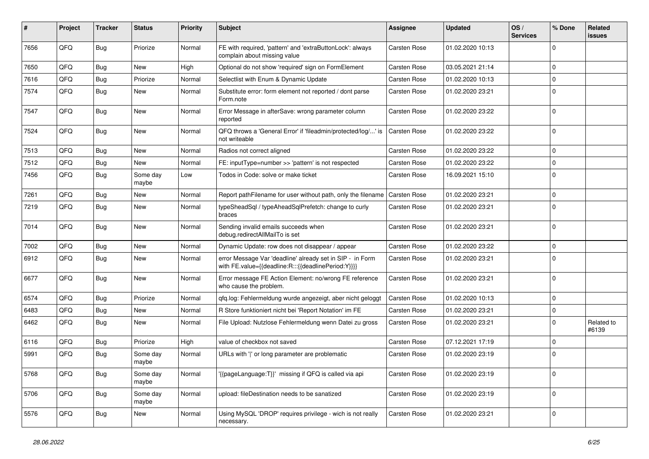| #    | Project | <b>Tracker</b> | <b>Status</b>     | <b>Priority</b> | Subject                                                                                                          | <b>Assignee</b>     | <b>Updated</b>   | OS/<br><b>Services</b> | % Done      | Related<br><b>issues</b> |
|------|---------|----------------|-------------------|-----------------|------------------------------------------------------------------------------------------------------------------|---------------------|------------------|------------------------|-------------|--------------------------|
| 7656 | QFQ     | Bug            | Priorize          | Normal          | FE with required, 'pattern' and 'extraButtonLock': always<br>complain about missing value                        | Carsten Rose        | 01.02.2020 10:13 |                        | $\mathbf 0$ |                          |
| 7650 | QFQ     | Bug            | New               | High            | Optional do not show 'required' sign on FormElement                                                              | Carsten Rose        | 03.05.2021 21:14 |                        | $\mathbf 0$ |                          |
| 7616 | QFQ     | <b>Bug</b>     | Priorize          | Normal          | Selectlist with Enum & Dynamic Update                                                                            | Carsten Rose        | 01.02.2020 10:13 |                        | $\mathbf 0$ |                          |
| 7574 | QFQ     | <b>Bug</b>     | New               | Normal          | Substitute error: form element not reported / dont parse<br>Form.note                                            | Carsten Rose        | 01.02.2020 23:21 |                        | $\Omega$    |                          |
| 7547 | QFQ     | <b>Bug</b>     | New               | Normal          | Error Message in afterSave: wrong parameter column<br>reported                                                   | Carsten Rose        | 01.02.2020 23:22 |                        | $\mathbf 0$ |                          |
| 7524 | QFQ     | Bug            | New               | Normal          | QFQ throws a 'General Error' if 'fileadmin/protected/log/' is<br>not writeable                                   | Carsten Rose        | 01.02.2020 23:22 |                        | $\mathbf 0$ |                          |
| 7513 | QFQ     | <b>Bug</b>     | New               | Normal          | Radios not correct aligned                                                                                       | Carsten Rose        | 01.02.2020 23:22 |                        | $\mathbf 0$ |                          |
| 7512 | QFQ     | <b>Bug</b>     | New               | Normal          | FE: inputType=number >> 'pattern' is not respected                                                               | Carsten Rose        | 01.02.2020 23:22 |                        | $\mathbf 0$ |                          |
| 7456 | QFQ     | Bug            | Some day<br>maybe | Low             | Todos in Code: solve or make ticket                                                                              | Carsten Rose        | 16.09.2021 15:10 |                        | $\mathbf 0$ |                          |
| 7261 | QFQ     | <b>Bug</b>     | <b>New</b>        | Normal          | Report pathFilename for user without path, only the filename                                                     | <b>Carsten Rose</b> | 01.02.2020 23:21 |                        | $\mathbf 0$ |                          |
| 7219 | QFQ     | <b>Bug</b>     | New               | Normal          | typeSheadSql / typeAheadSqlPrefetch: change to curly<br>braces                                                   | Carsten Rose        | 01.02.2020 23:21 |                        | $\mathbf 0$ |                          |
| 7014 | QFQ     | <b>Bug</b>     | New               | Normal          | Sending invalid emails succeeds when<br>debug.redirectAllMailTo is set                                           | Carsten Rose        | 01.02.2020 23:21 |                        | $\mathbf 0$ |                          |
| 7002 | QFQ     | <b>Bug</b>     | New               | Normal          | Dynamic Update: row does not disappear / appear                                                                  | Carsten Rose        | 01.02.2020 23:22 |                        | $\mathbf 0$ |                          |
| 6912 | QFQ     | Bug            | New               | Normal          | error Message Var 'deadline' already set in SIP - in Form<br>with FE.value={{deadline:R:::{{deadlinePeriod:Y}}}} | Carsten Rose        | 01.02.2020 23:21 |                        | $\mathbf 0$ |                          |
| 6677 | QFQ     | Bug            | <b>New</b>        | Normal          | Error message FE Action Element: no/wrong FE reference<br>who cause the problem.                                 | Carsten Rose        | 01.02.2020 23:21 |                        | $\mathbf 0$ |                          |
| 6574 | QFQ     | <b>Bug</b>     | Priorize          | Normal          | qfq.log: Fehlermeldung wurde angezeigt, aber nicht geloggt                                                       | Carsten Rose        | 01.02.2020 10:13 |                        | $\mathbf 0$ |                          |
| 6483 | QFQ     | <b>Bug</b>     | New               | Normal          | R Store funktioniert nicht bei 'Report Notation' im FE                                                           | Carsten Rose        | 01.02.2020 23:21 |                        | $\mathbf 0$ |                          |
| 6462 | QFQ     | Bug            | New               | Normal          | File Upload: Nutzlose Fehlermeldung wenn Datei zu gross                                                          | Carsten Rose        | 01.02.2020 23:21 |                        | $\mathbf 0$ | Related to<br>#6139      |
| 6116 | QFQ     | <b>Bug</b>     | Priorize          | High            | value of checkbox not saved                                                                                      | Carsten Rose        | 07.12.2021 17:19 |                        | $\mathbf 0$ |                          |
| 5991 | QFQ     | <b>Bug</b>     | Some day<br>maybe | Normal          | URLs with ' ' or long parameter are problematic                                                                  | Carsten Rose        | 01.02.2020 23:19 |                        | $\mathbf 0$ |                          |
| 5768 | QFQ     | Bug            | Some day<br>maybe | Normal          | '{{pageLanguage:T}}' missing if QFQ is called via api                                                            | Carsten Rose        | 01.02.2020 23:19 |                        | $\mathsf 0$ |                          |
| 5706 | QFQ     | Bug            | Some day<br>maybe | Normal          | upload: fileDestination needs to be sanatized                                                                    | Carsten Rose        | 01.02.2020 23:19 |                        | $\mathsf 0$ |                          |
| 5576 | QFQ     | Bug            | New               | Normal          | Using MySQL 'DROP' requires privilege - wich is not really<br>necessary.                                         | Carsten Rose        | 01.02.2020 23:21 |                        | $\mathbf 0$ |                          |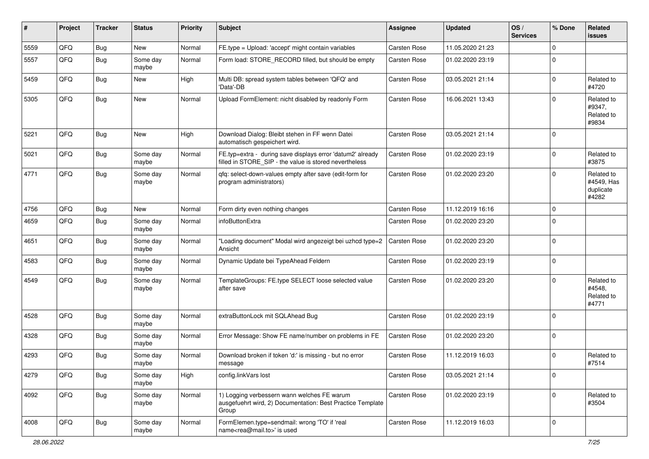| $\sharp$ | Project | <b>Tracker</b> | <b>Status</b>     | <b>Priority</b> | <b>Subject</b>                                                                                                       | <b>Assignee</b>     | <b>Updated</b>   | OS/<br><b>Services</b> | % Done      | <b>Related</b><br>issues                       |
|----------|---------|----------------|-------------------|-----------------|----------------------------------------------------------------------------------------------------------------------|---------------------|------------------|------------------------|-------------|------------------------------------------------|
| 5559     | QFQ     | <b>Bug</b>     | New               | Normal          | FE.type = Upload: 'accept' might contain variables                                                                   | Carsten Rose        | 11.05.2020 21:23 |                        | $\Omega$    |                                                |
| 5557     | QFQ     | <b>Bug</b>     | Some day<br>maybe | Normal          | Form load: STORE_RECORD filled, but should be empty                                                                  | <b>Carsten Rose</b> | 01.02.2020 23:19 |                        | $\Omega$    |                                                |
| 5459     | QFQ     | <b>Bug</b>     | New               | High            | Multi DB: spread system tables between 'QFQ' and<br>'Data'-DB                                                        | <b>Carsten Rose</b> | 03.05.2021 21:14 |                        | $\Omega$    | Related to<br>#4720                            |
| 5305     | QFQ     | <b>Bug</b>     | New               | Normal          | Upload FormElement: nicht disabled by readonly Form                                                                  | Carsten Rose        | 16.06.2021 13:43 |                        | $\Omega$    | Related to<br>#9347,<br>Related to<br>#9834    |
| 5221     | QFQ     | Bug            | New               | High            | Download Dialog: Bleibt stehen in FF wenn Datei<br>automatisch gespeichert wird.                                     | <b>Carsten Rose</b> | 03.05.2021 21:14 |                        | $\Omega$    |                                                |
| 5021     | QFQ     | <b>Bug</b>     | Some day<br>maybe | Normal          | FE.typ=extra - during save displays error 'datum2' already<br>filled in STORE_SIP - the value is stored nevertheless | Carsten Rose        | 01.02.2020 23:19 |                        | $\Omega$    | Related to<br>#3875                            |
| 4771     | QFQ     | <b>Bug</b>     | Some day<br>maybe | Normal          | qfq: select-down-values empty after save (edit-form for<br>program administrators)                                   | Carsten Rose        | 01.02.2020 23:20 |                        | $\Omega$    | Related to<br>#4549, Has<br>duplicate<br>#4282 |
| 4756     | QFQ     | <b>Bug</b>     | New               | Normal          | Form dirty even nothing changes                                                                                      | Carsten Rose        | 11.12.2019 16:16 |                        | $\Omega$    |                                                |
| 4659     | QFQ     | <b>Bug</b>     | Some day<br>maybe | Normal          | infoButtonExtra                                                                                                      | Carsten Rose        | 01.02.2020 23:20 |                        | $\Omega$    |                                                |
| 4651     | QFQ     | <b>Bug</b>     | Some day<br>maybe | Normal          | 'Loading document" Modal wird angezeigt bei uzhcd type=2<br>Ansicht                                                  | Carsten Rose        | 01.02.2020 23:20 |                        | $\Omega$    |                                                |
| 4583     | QFQ     | <b>Bug</b>     | Some day<br>maybe | Normal          | Dynamic Update bei TypeAhead Feldern                                                                                 | <b>Carsten Rose</b> | 01.02.2020 23:19 |                        | $\Omega$    |                                                |
| 4549     | QFQ     | <b>Bug</b>     | Some day<br>maybe | Normal          | TemplateGroups: FE.type SELECT loose selected value<br>after save                                                    | <b>Carsten Rose</b> | 01.02.2020 23:20 |                        | $\Omega$    | Related to<br>#4548,<br>Related to<br>#4771    |
| 4528     | QFQ     | Bug            | Some day<br>maybe | Normal          | extraButtonLock mit SQLAhead Bug                                                                                     | Carsten Rose        | 01.02.2020 23:19 |                        | $\Omega$    |                                                |
| 4328     | QFQ     | <b>Bug</b>     | Some day<br>maybe | Normal          | Error Message: Show FE name/number on problems in FE                                                                 | Carsten Rose        | 01.02.2020 23:20 |                        | $\mathbf 0$ |                                                |
| 4293     | QFQ     | <b>Bug</b>     | Some day<br>maybe | Normal          | Download broken if token 'd:' is missing - but no error<br>message                                                   | Carsten Rose        | 11.12.2019 16:03 |                        | $\Omega$    | Related to<br>#7514                            |
| 4279     | QFQ     | <b>Bug</b>     | Some day<br>maybe | High            | config.linkVars lost                                                                                                 | Carsten Rose        | 03.05.2021 21:14 |                        | $\mathbf 0$ |                                                |
| 4092     | QFQ     | Bug            | Some day<br>maybe | Normal          | 1) Logging verbessern wann welches FE warum<br>ausgefuehrt wird, 2) Documentation: Best Practice Template<br>Group   | Carsten Rose        | 01.02.2020 23:19 |                        | $\mathbf 0$ | Related to<br>#3504                            |
| 4008     | QFQ     | <b>Bug</b>     | Some day<br>maybe | Normal          | FormElemen.type=sendmail: wrong 'TO' if 'real<br>name <rea@mail.to>' is used</rea@mail.to>                           | Carsten Rose        | 11.12.2019 16:03 |                        | $\mathbf 0$ |                                                |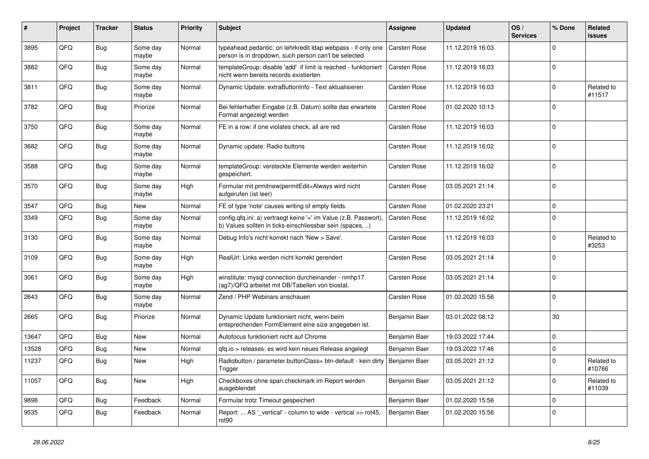| #     | Project | <b>Tracker</b> | <b>Status</b>     | <b>Priority</b> | <b>Subject</b>                                                                                                                | <b>Assignee</b>     | <b>Updated</b>   | OS/<br><b>Services</b> | % Done      | <b>Related</b><br>issues |
|-------|---------|----------------|-------------------|-----------------|-------------------------------------------------------------------------------------------------------------------------------|---------------------|------------------|------------------------|-------------|--------------------------|
| 3895  | QFQ     | Bug            | Some day<br>maybe | Normal          | typeahead pedantic: on lehrkredit Idap webpass - if only one<br>person is in dropdown, such person can't be selected          | <b>Carsten Rose</b> | 11.12.2019 16:03 |                        | $\Omega$    |                          |
| 3882  | QFQ     | Bug            | Some day<br>maybe | Normal          | templateGroup: disable 'add' if limit is reached - funktioniert<br>nicht wenn bereits records existierten                     | Carsten Rose        | 11.12.2019 16:03 |                        | $\mathbf 0$ |                          |
| 3811  | QFQ     | <b>Bug</b>     | Some day<br>maybe | Normal          | Dynamic Update: extraButtonInfo - Text aktualisieren                                                                          | Carsten Rose        | 11.12.2019 16:03 |                        | 0           | Related to<br>#11517     |
| 3782  | QFQ     | Bug            | Priorize          | Normal          | Bei fehlerhafter Eingabe (z.B. Datum) sollte das erwartete<br>Format angezeigt werden                                         | <b>Carsten Rose</b> | 01.02.2020 10:13 |                        | $\Omega$    |                          |
| 3750  | QFQ     | Bug            | Some day<br>maybe | Normal          | FE in a row: if one violates check, all are red                                                                               | Carsten Rose        | 11.12.2019 16:03 |                        | $\mathbf 0$ |                          |
| 3682  | QFQ     | Bug            | Some day<br>maybe | Normal          | Dynamic update: Radio buttons                                                                                                 | Carsten Rose        | 11.12.2019 16:02 |                        | $\Omega$    |                          |
| 3588  | QFQ     | Bug            | Some day<br>maybe | Normal          | templateGroup: versteckte Elemente werden weiterhin<br>gespeichert.                                                           | Carsten Rose        | 11.12.2019 16:02 |                        | $\mathbf 0$ |                          |
| 3570  | QFQ     | Bug            | Some day<br>maybe | High            | Formular mit prmitnew permitEdit=Always wird nicht<br>aufgerufen (ist leer)                                                   | Carsten Rose        | 03.05.2021 21:14 |                        | $\mathbf 0$ |                          |
| 3547  | QFQ     | <b>Bug</b>     | New               | Normal          | FE of type 'note' causes writing of empty fields.                                                                             | Carsten Rose        | 01.02.2020 23:21 |                        | $\mathbf 0$ |                          |
| 3349  | QFQ     | Bug            | Some day<br>maybe | Normal          | config.qfq.ini: a) vertraegt keine '=' im Value (z.B. Passwort),<br>b) Values sollten in ticks einschliessbar sein (spaces, ) | <b>Carsten Rose</b> | 11.12.2019 16:02 |                        | $\Omega$    |                          |
| 3130  | QFQ     | Bug            | Some day<br>maybe | Normal          | Debug Info's nicht korrekt nach 'New > Save'.                                                                                 | Carsten Rose        | 11.12.2019 16:03 |                        | $\Omega$    | Related to<br>#3253      |
| 3109  | QFQ     | Bug            | Some day<br>maybe | High            | RealUrl: Links werden nicht korrekt gerendert                                                                                 | Carsten Rose        | 03.05.2021 21:14 |                        | $\Omega$    |                          |
| 3061  | QFQ     | <b>Bug</b>     | Some day<br>maybe | High            | winstitute: mysql connection durcheinander - nmhp17<br>(ag7)/QFQ arbeitet mit DB/Tabellen von biostat.                        | Carsten Rose        | 03.05.2021 21:14 |                        | $\mathbf 0$ |                          |
| 2643  | QFQ     | <b>Bug</b>     | Some day<br>maybe | Normal          | Zend / PHP Webinars anschauen                                                                                                 | Carsten Rose        | 01.02.2020 15:56 |                        | $\mathbf 0$ |                          |
| 2665  | QFQ     | Bug            | Priorize          | Normal          | Dynamic Update funktioniert nicht, wenn beim<br>entsprechenden FormElement eine size angegeben ist.                           | Benjamin Baer       | 03.01.2022 08:12 |                        | 30          |                          |
| 13647 | QFQ     | Bug            | New               | Normal          | Autofocus funktioniert nicht auf Chrome                                                                                       | Benjamin Baer       | 19.03.2022 17:44 |                        | $\mathbf 0$ |                          |
| 13528 | QFQ     | <b>Bug</b>     | New               | Normal          | gfg.io > releases: es wird kein neues Release angelegt                                                                        | Benjamin Baer       | 19.03.2022 17:46 |                        | $\mathbf 0$ |                          |
| 11237 | QFQ     | Bug            | New               | High            | Radiobutton / parameter.buttonClass= btn-default - kein dirty<br>I rigger                                                     | Benjamin Baer       | 03.05.2021 21:12 |                        | 0           | Related to<br>#10766     |
| 11057 | QFQ     | Bug            | New               | High            | Checkboxes ohne span.checkmark im Report werden<br>ausgeblendet                                                               | Benjamin Baer       | 03.05.2021 21:12 |                        | $\mathbf 0$ | Related to<br>#11039     |
| 9898  | QFQ     | <b>Bug</b>     | Feedback          | Normal          | Formular trotz Timeout gespeichert                                                                                            | Benjamin Baer       | 01.02.2020 15:56 |                        | $\mathbf 0$ |                          |
| 9535  | QFQ     | <b>Bug</b>     | Feedback          | Normal          | Report:  AS '_vertical' - column to wide - vertical >> rot45,<br>rot <sub>90</sub>                                            | Benjamin Baer       | 01.02.2020 15:56 |                        | $\mathbf 0$ |                          |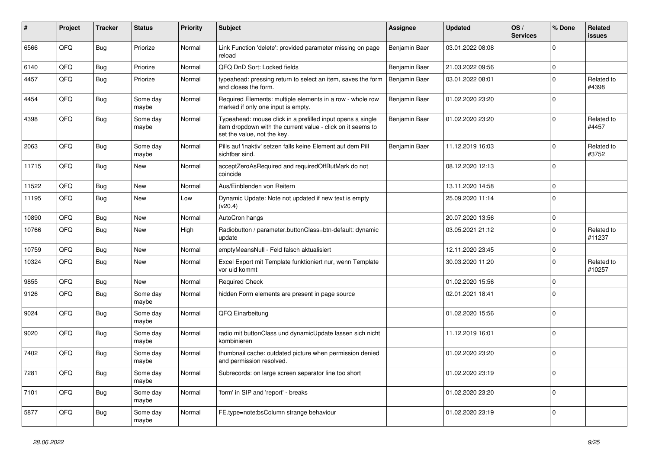| #     | Project | <b>Tracker</b> | <b>Status</b>     | <b>Priority</b> | <b>Subject</b>                                                                                                                                           | <b>Assignee</b> | <b>Updated</b>   | OS/<br><b>Services</b> | % Done      | Related<br><b>issues</b> |
|-------|---------|----------------|-------------------|-----------------|----------------------------------------------------------------------------------------------------------------------------------------------------------|-----------------|------------------|------------------------|-------------|--------------------------|
| 6566  | QFQ     | <b>Bug</b>     | Priorize          | Normal          | Link Function 'delete': provided parameter missing on page<br>reload                                                                                     | Benjamin Baer   | 03.01.2022 08:08 |                        | $\mathbf 0$ |                          |
| 6140  | QFQ     | Bug            | Priorize          | Normal          | QFQ DnD Sort: Locked fields                                                                                                                              | Benjamin Baer   | 21.03.2022 09:56 |                        | $\pmb{0}$   |                          |
| 4457  | QFQ     | <b>Bug</b>     | Priorize          | Normal          | typeahead: pressing return to select an item, saves the form<br>and closes the form.                                                                     | Benjamin Baer   | 03.01.2022 08:01 |                        | $\Omega$    | Related to<br>#4398      |
| 4454  | QFQ     | Bug            | Some day<br>maybe | Normal          | Required Elements: multiple elements in a row - whole row<br>marked if only one input is empty.                                                          | Benjamin Baer   | 01.02.2020 23:20 |                        | $\mathbf 0$ |                          |
| 4398  | QFQ     | <b>Bug</b>     | Some day<br>maybe | Normal          | Typeahead: mouse click in a prefilled input opens a single<br>item dropdown with the current value - click on it seems to<br>set the value, not the key. | Benjamin Baer   | 01.02.2020 23:20 |                        | $\mathbf 0$ | Related to<br>#4457      |
| 2063  | QFQ     | Bug            | Some day<br>maybe | Normal          | Pills auf 'inaktiv' setzen falls keine Element auf dem Pill<br>sichtbar sind.                                                                            | Benjamin Baer   | 11.12.2019 16:03 |                        | $\mathbf 0$ | Related to<br>#3752      |
| 11715 | QFQ     | <b>Bug</b>     | New               | Normal          | acceptZeroAsRequired and requiredOffButMark do not<br>coincide                                                                                           |                 | 08.12.2020 12:13 |                        | $\mathbf 0$ |                          |
| 11522 | QFQ     | <b>Bug</b>     | New               | Normal          | Aus/Einblenden von Reitern                                                                                                                               |                 | 13.11.2020 14:58 |                        | $\mathbf 0$ |                          |
| 11195 | QFQ     | <b>Bug</b>     | New               | Low             | Dynamic Update: Note not updated if new text is empty<br>(v20.4)                                                                                         |                 | 25.09.2020 11:14 |                        | $\mathbf 0$ |                          |
| 10890 | QFQ     | <b>Bug</b>     | <b>New</b>        | Normal          | AutoCron hangs                                                                                                                                           |                 | 20.07.2020 13:56 |                        | $\pmb{0}$   |                          |
| 10766 | QFQ     | Bug            | New               | High            | Radiobutton / parameter.buttonClass=btn-default: dynamic<br>update                                                                                       |                 | 03.05.2021 21:12 |                        | $\mathbf 0$ | Related to<br>#11237     |
| 10759 | QFQ     | Bug            | New               | Normal          | emptyMeansNull - Feld falsch aktualisiert                                                                                                                |                 | 12.11.2020 23:45 |                        | $\pmb{0}$   |                          |
| 10324 | QFQ     | <b>Bug</b>     | <b>New</b>        | Normal          | Excel Export mit Template funktioniert nur, wenn Template<br>vor uid kommt                                                                               |                 | 30.03.2020 11:20 |                        | $\mathbf 0$ | Related to<br>#10257     |
| 9855  | QFQ     | Bug            | New               | Normal          | <b>Required Check</b>                                                                                                                                    |                 | 01.02.2020 15:56 |                        | $\pmb{0}$   |                          |
| 9126  | QFQ     | Bug            | Some day<br>maybe | Normal          | hidden Form elements are present in page source                                                                                                          |                 | 02.01.2021 18:41 |                        | $\Omega$    |                          |
| 9024  | QFQ     | <b>Bug</b>     | Some day<br>maybe | Normal          | QFQ Einarbeitung                                                                                                                                         |                 | 01.02.2020 15:56 |                        | $\Omega$    |                          |
| 9020  | QFQ     | Bug            | Some day<br>maybe | Normal          | radio mit buttonClass und dynamicUpdate lassen sich nicht<br>kombinieren                                                                                 |                 | 11.12.2019 16:01 |                        | $\mathbf 0$ |                          |
| 7402  | QFQ     | <b>Bug</b>     | Some day<br>maybe | Normal          | thumbnail cache: outdated picture when permission denied<br>and permission resolved.                                                                     |                 | 01.02.2020 23:20 |                        | $\pmb{0}$   |                          |
| 7281  | QFQ     | Bug            | Some day<br>maybe | Normal          | Subrecords: on large screen separator line too short                                                                                                     |                 | 01.02.2020 23:19 |                        | $\mathbf 0$ |                          |
| 7101  | QFQ     | <b>Bug</b>     | Some day<br>maybe | Normal          | 'form' in SIP and 'report' - breaks                                                                                                                      |                 | 01.02.2020 23:20 |                        | $\mathbf 0$ |                          |
| 5877  | QFQ     | <b>Bug</b>     | Some day<br>maybe | Normal          | FE.type=note:bsColumn strange behaviour                                                                                                                  |                 | 01.02.2020 23:19 |                        | $\pmb{0}$   |                          |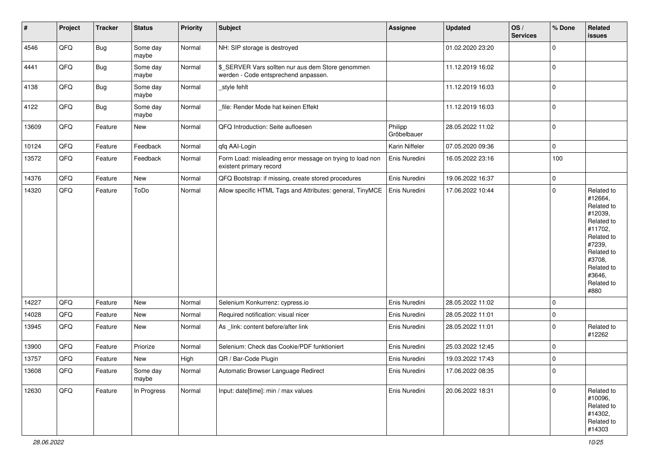| $\vert$ # | Project        | <b>Tracker</b> | <b>Status</b>     | <b>Priority</b> | <b>Subject</b>                                                                            | <b>Assignee</b>        | <b>Updated</b>   | OS/<br><b>Services</b> | % Done      | Related<br><b>issues</b>                                                                                                                                              |
|-----------|----------------|----------------|-------------------|-----------------|-------------------------------------------------------------------------------------------|------------------------|------------------|------------------------|-------------|-----------------------------------------------------------------------------------------------------------------------------------------------------------------------|
| 4546      | QFQ            | Bug            | Some day<br>maybe | Normal          | NH: SIP storage is destroyed                                                              |                        | 01.02.2020 23:20 |                        | $\mathbf 0$ |                                                                                                                                                                       |
| 4441      | QFQ            | <b>Bug</b>     | Some day<br>maybe | Normal          | \$_SERVER Vars sollten nur aus dem Store genommen<br>werden - Code entsprechend anpassen. |                        | 11.12.2019 16:02 |                        | $\mathbf 0$ |                                                                                                                                                                       |
| 4138      | QFQ            | <b>Bug</b>     | Some day<br>maybe | Normal          | style fehlt                                                                               |                        | 11.12.2019 16:03 |                        | 0           |                                                                                                                                                                       |
| 4122      | QFQ            | <b>Bug</b>     | Some day<br>maybe | Normal          | file: Render Mode hat keinen Effekt                                                       |                        | 11.12.2019 16:03 |                        | $\mathbf 0$ |                                                                                                                                                                       |
| 13609     | QFQ            | Feature        | New               | Normal          | QFQ Introduction: Seite aufloesen                                                         | Philipp<br>Gröbelbauer | 28.05.2022 11:02 |                        | $\mathbf 0$ |                                                                                                                                                                       |
| 10124     | QFQ            | Feature        | Feedback          | Normal          | qfq AAI-Login                                                                             | Karin Niffeler         | 07.05.2020 09:36 |                        | $\mathbf 0$ |                                                                                                                                                                       |
| 13572     | QFQ            | Feature        | Feedback          | Normal          | Form Load: misleading error message on trying to load non<br>existent primary record      | Enis Nuredini          | 16.05.2022 23:16 |                        | 100         |                                                                                                                                                                       |
| 14376     | QFQ            | Feature        | New               | Normal          | QFQ Bootstrap: if missing, create stored procedures                                       | Enis Nuredini          | 19.06.2022 16:37 |                        | $\mathbf 0$ |                                                                                                                                                                       |
| 14320     | QFQ            | Feature        | ToDo              | Normal          | Allow specific HTML Tags and Attributes: general, TinyMCE                                 | Enis Nuredini          | 17.06.2022 10:44 |                        | $\mathbf 0$ | Related to<br>#12664,<br>Related to<br>#12039,<br>Related to<br>#11702,<br>Related to<br>#7239,<br>Related to<br>#3708,<br>Related to<br>#3646,<br>Related to<br>#880 |
| 14227     | QFQ            | Feature        | <b>New</b>        | Normal          | Selenium Konkurrenz: cypress.io                                                           | Enis Nuredini          | 28.05.2022 11:02 |                        | $\mathbf 0$ |                                                                                                                                                                       |
| 14028     | QFQ            | Feature        | New               | Normal          | Required notification: visual nicer                                                       | Enis Nuredini          | 28.05.2022 11:01 |                        | $\mathbf 0$ |                                                                                                                                                                       |
| 13945     | QFQ            | Feature        | New               | Normal          | As _link: content before/after link                                                       | Enis Nuredini          | 28.05.2022 11:01 |                        | $\mathbf 0$ | Related to<br>#12262                                                                                                                                                  |
| 13900     | QFQ            | Feature        | Priorize          | Normal          | Selenium: Check das Cookie/PDF funktioniert                                               | Enis Nuredini          | 25.03.2022 12:45 |                        | $\mathbf 0$ |                                                                                                                                                                       |
| 13757     | QFQ            | Feature        | New               | High            | QR / Bar-Code Plugin                                                                      | Enis Nuredini          | 19.03.2022 17:43 |                        | $\mathbf 0$ |                                                                                                                                                                       |
| 13608     | $\mathsf{QFQ}$ | Feature        | Some day<br>maybe | Normal          | Automatic Browser Language Redirect                                                       | Enis Nuredini          | 17.06.2022 08:35 |                        | 0           |                                                                                                                                                                       |
| 12630     | QFQ            | Feature        | In Progress       | Normal          | Input: date[time]: min / max values                                                       | Enis Nuredini          | 20.06.2022 18:31 |                        | $\mathbf 0$ | Related to<br>#10096,<br>Related to<br>#14302,<br>Related to<br>#14303                                                                                                |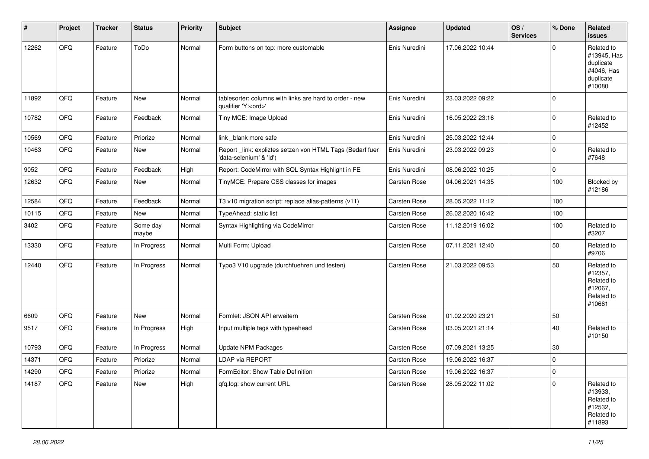| #     | Project | <b>Tracker</b> | <b>Status</b>     | <b>Priority</b> | <b>Subject</b>                                                                        | <b>Assignee</b>     | <b>Updated</b>   | OS/<br><b>Services</b> | % Done      | Related<br>issues                                                           |
|-------|---------|----------------|-------------------|-----------------|---------------------------------------------------------------------------------------|---------------------|------------------|------------------------|-------------|-----------------------------------------------------------------------------|
| 12262 | QFQ     | Feature        | ToDo              | Normal          | Form buttons on top: more customable                                                  | Enis Nuredini       | 17.06.2022 10:44 |                        | $\mathbf 0$ | Related to<br>#13945, Has<br>duplicate<br>#4046, Has<br>duplicate<br>#10080 |
| 11892 | QFQ     | Feature        | New               | Normal          | tablesorter: columns with links are hard to order - new<br>qualifier 'Y: <ord>'</ord> | Enis Nuredini       | 23.03.2022 09:22 |                        | $\mathbf 0$ |                                                                             |
| 10782 | QFQ     | Feature        | Feedback          | Normal          | Tiny MCE: Image Upload                                                                | Enis Nuredini       | 16.05.2022 23:16 |                        | $\mathbf 0$ | Related to<br>#12452                                                        |
| 10569 | QFQ     | Feature        | Priorize          | Normal          | link _blank more safe                                                                 | Enis Nuredini       | 25.03.2022 12:44 |                        | $\mathbf 0$ |                                                                             |
| 10463 | QFQ     | Feature        | New               | Normal          | Report _link: expliztes setzen von HTML Tags (Bedarf fuer<br>'data-selenium' & 'id')  | Enis Nuredini       | 23.03.2022 09:23 |                        | $\mathbf 0$ | Related to<br>#7648                                                         |
| 9052  | QFQ     | Feature        | Feedback          | High            | Report: CodeMirror with SQL Syntax Highlight in FE                                    | Enis Nuredini       | 08.06.2022 10:25 |                        | 0           |                                                                             |
| 12632 | QFQ     | Feature        | New               | Normal          | TinyMCE: Prepare CSS classes for images                                               | Carsten Rose        | 04.06.2021 14:35 |                        | 100         | Blocked by<br>#12186                                                        |
| 12584 | QFQ     | Feature        | Feedback          | Normal          | T3 v10 migration script: replace alias-patterns (v11)                                 | Carsten Rose        | 28.05.2022 11:12 |                        | 100         |                                                                             |
| 10115 | QFQ     | Feature        | New               | Normal          | TypeAhead: static list                                                                | <b>Carsten Rose</b> | 26.02.2020 16:42 |                        | 100         |                                                                             |
| 3402  | QFQ     | Feature        | Some day<br>maybe | Normal          | Syntax Highlighting via CodeMirror                                                    | Carsten Rose        | 11.12.2019 16:02 |                        | 100         | Related to<br>#3207                                                         |
| 13330 | QFQ     | Feature        | In Progress       | Normal          | Multi Form: Upload                                                                    | Carsten Rose        | 07.11.2021 12:40 |                        | 50          | Related to<br>#9706                                                         |
| 12440 | QFQ     | Feature        | In Progress       | Normal          | Typo3 V10 upgrade (durchfuehren und testen)                                           | Carsten Rose        | 21.03.2022 09:53 |                        | 50          | Related to<br>#12357,<br>Related to<br>#12067,<br>Related to<br>#10661      |
| 6609  | QFQ     | Feature        | New               | Normal          | Formlet: JSON API erweitern                                                           | Carsten Rose        | 01.02.2020 23:21 |                        | 50          |                                                                             |
| 9517  | QFQ     | Feature        | In Progress       | High            | Input multiple tags with typeahead                                                    | Carsten Rose        | 03.05.2021 21:14 |                        | 40          | Related to<br>#10150                                                        |
| 10793 | QFQ     | Feature        | In Progress       | Normal          | Update NPM Packages                                                                   | <b>Carsten Rose</b> | 07.09.2021 13:25 |                        | 30          |                                                                             |
| 14371 | QFQ     | Feature        | Priorize          | Normal          | <b>LDAP via REPORT</b>                                                                | <b>Carsten Rose</b> | 19.06.2022 16:37 |                        | $\pmb{0}$   |                                                                             |
| 14290 | QFG     | Feature        | Priorize          | Normal          | FormEditor: Show Table Definition                                                     | Carsten Rose        | 19.06.2022 16:37 |                        | $\pmb{0}$   |                                                                             |
| 14187 | QFQ     | Feature        | New               | High            | qfq.log: show current URL                                                             | Carsten Rose        | 28.05.2022 11:02 |                        | $\mathbf 0$ | Related to<br>#13933,<br>Related to<br>#12532,<br>Related to<br>#11893      |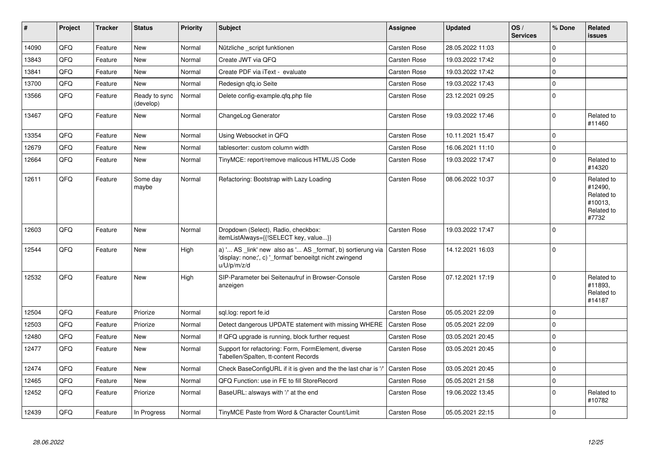| #     | Project | <b>Tracker</b> | <b>Status</b>              | <b>Priority</b> | <b>Subject</b>                                                                                                                        | Assignee            | <b>Updated</b>   | OS/<br><b>Services</b> | % Done      | <b>Related</b><br><b>issues</b>                                       |
|-------|---------|----------------|----------------------------|-----------------|---------------------------------------------------------------------------------------------------------------------------------------|---------------------|------------------|------------------------|-------------|-----------------------------------------------------------------------|
| 14090 | QFQ     | Feature        | <b>New</b>                 | Normal          | Nützliche _script funktionen                                                                                                          | Carsten Rose        | 28.05.2022 11:03 |                        | $\Omega$    |                                                                       |
| 13843 | QFQ     | Feature        | New                        | Normal          | Create JWT via QFQ                                                                                                                    | Carsten Rose        | 19.03.2022 17:42 |                        | $\Omega$    |                                                                       |
| 13841 | QFQ     | Feature        | <b>New</b>                 | Normal          | Create PDF via iText - evaluate                                                                                                       | Carsten Rose        | 19.03.2022 17:42 |                        | $\Omega$    |                                                                       |
| 13700 | QFQ     | Feature        | <b>New</b>                 | Normal          | Redesign gfg.io Seite                                                                                                                 | <b>Carsten Rose</b> | 19.03.2022 17:43 |                        | $\Omega$    |                                                                       |
| 13566 | QFQ     | Feature        | Ready to sync<br>(develop) | Normal          | Delete config-example.qfq.php file                                                                                                    | Carsten Rose        | 23.12.2021 09:25 |                        | $\Omega$    |                                                                       |
| 13467 | QFQ     | Feature        | <b>New</b>                 | Normal          | ChangeLog Generator                                                                                                                   | Carsten Rose        | 19.03.2022 17:46 |                        | $\Omega$    | Related to<br>#11460                                                  |
| 13354 | QFQ     | Feature        | <b>New</b>                 | Normal          | Using Websocket in QFQ                                                                                                                | Carsten Rose        | 10.11.2021 15:47 |                        | $\Omega$    |                                                                       |
| 12679 | QFQ     | Feature        | <b>New</b>                 | Normal          | tablesorter: custom column width                                                                                                      | Carsten Rose        | 16.06.2021 11:10 |                        | $\Omega$    |                                                                       |
| 12664 | QFQ     | Feature        | <b>New</b>                 | Normal          | TinyMCE: report/remove malicous HTML/JS Code                                                                                          | Carsten Rose        | 19.03.2022 17:47 |                        | $\Omega$    | Related to<br>#14320                                                  |
| 12611 | QFQ     | Feature        | Some day<br>maybe          | Normal          | Refactoring: Bootstrap with Lazy Loading                                                                                              | Carsten Rose        | 08.06.2022 10:37 |                        | $\Omega$    | Related to<br>#12490,<br>Related to<br>#10013,<br>Related to<br>#7732 |
| 12603 | QFQ     | Feature        | <b>New</b>                 | Normal          | Dropdown (Select), Radio, checkbox:<br>itemListAlways={{!SELECT key, value}}                                                          | Carsten Rose        | 19.03.2022 17:47 |                        | $\Omega$    |                                                                       |
| 12544 | QFQ     | Feature        | <b>New</b>                 | High            | a) ' AS _link' new also as ' AS _format', b) sortierung via<br>'display: none;', c) '_format' benoeitgt nicht zwingend<br>u/U/p/m/z/d | Carsten Rose        | 14.12.2021 16:03 |                        | $\Omega$    |                                                                       |
| 12532 | QFQ     | Feature        | <b>New</b>                 | High            | SIP-Parameter bei Seitenaufruf in Browser-Console<br>anzeigen                                                                         | Carsten Rose        | 07.12.2021 17:19 |                        | $\Omega$    | Related to<br>#11893,<br>Related to<br>#14187                         |
| 12504 | QFQ     | Feature        | Priorize                   | Normal          | sgl.log: report fe.id                                                                                                                 | Carsten Rose        | 05.05.2021 22:09 |                        | $\Omega$    |                                                                       |
| 12503 | QFQ     | Feature        | Priorize                   | Normal          | Detect dangerous UPDATE statement with missing WHERE                                                                                  | <b>Carsten Rose</b> | 05.05.2021 22:09 |                        | $\Omega$    |                                                                       |
| 12480 | QFQ     | Feature        | <b>New</b>                 | Normal          | If QFQ upgrade is running, block further request                                                                                      | Carsten Rose        | 03.05.2021 20:45 |                        | $\mathbf 0$ |                                                                       |
| 12477 | QFQ     | Feature        | <b>New</b>                 | Normal          | Support for refactoring: Form, FormElement, diverse<br>Tabellen/Spalten, tt-content Records                                           | Carsten Rose        | 03.05.2021 20:45 |                        | $\Omega$    |                                                                       |
| 12474 | QFQ     | Feature        | <b>New</b>                 | Normal          | Check BaseConfigURL if it is given and the the last char is '.                                                                        | <b>Carsten Rose</b> | 03.05.2021 20:45 |                        | 0           |                                                                       |
| 12465 | QFQ     | Feature        | <b>New</b>                 | Normal          | QFQ Function: use in FE to fill StoreRecord                                                                                           | <b>Carsten Rose</b> | 05.05.2021 21:58 |                        | $\Omega$    |                                                                       |
| 12452 | QFQ     | Feature        | Priorize                   | Normal          | BaseURL: alsways with '/' at the end                                                                                                  | Carsten Rose        | 19.06.2022 13:45 |                        | $\Omega$    | Related to<br>#10782                                                  |
| 12439 | QFQ     | Feature        | In Progress                | Normal          | TinyMCE Paste from Word & Character Count/Limit                                                                                       | <b>Carsten Rose</b> | 05.05.2021 22:15 |                        | $\Omega$    |                                                                       |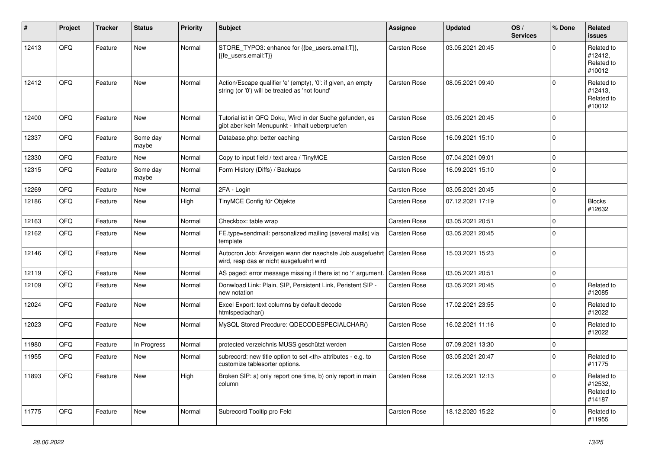| #     | Project | <b>Tracker</b> | <b>Status</b>     | <b>Priority</b> | <b>Subject</b>                                                                                                      | <b>Assignee</b>                                        | <b>Updated</b>   | OS/<br><b>Services</b> | % Done      | Related<br><b>issues</b>                      |                      |
|-------|---------|----------------|-------------------|-----------------|---------------------------------------------------------------------------------------------------------------------|--------------------------------------------------------|------------------|------------------------|-------------|-----------------------------------------------|----------------------|
| 12413 | QFQ     | Feature        | New               | Normal          | STORE_TYPO3: enhance for {{be_users.email:T}},<br>{{fe users.email:T}}                                              | Carsten Rose                                           | 03.05.2021 20:45 |                        | $\Omega$    | Related to<br>#12412,<br>Related to<br>#10012 |                      |
| 12412 | QFQ     | Feature        | <b>New</b>        | Normal          | Action/Escape qualifier 'e' (empty), '0': if given, an empty<br>string (or '0') will be treated as 'not found'      | Carsten Rose                                           | 08.05.2021 09:40 |                        | $\mathbf 0$ | Related to<br>#12413.<br>Related to<br>#10012 |                      |
| 12400 | QFQ     | Feature        | <b>New</b>        | Normal          | Tutorial ist in QFQ Doku, Wird in der Suche gefunden, es<br>gibt aber kein Menupunkt - Inhalt ueberpruefen          | Carsten Rose                                           | 03.05.2021 20:45 |                        | $\Omega$    |                                               |                      |
| 12337 | QFQ     | Feature        | Some day<br>maybe | Normal          | Database.php: better caching                                                                                        | Carsten Rose                                           | 16.09.2021 15:10 |                        | $\mathbf 0$ |                                               |                      |
| 12330 | QFQ     | Feature        | New               | Normal          | Copy to input field / text area / TinyMCE                                                                           | Carsten Rose                                           | 07.04.2021 09:01 |                        | $\mathbf 0$ |                                               |                      |
| 12315 | QFQ     | Feature        | Some day<br>maybe | Normal          | Form History (Diffs) / Backups                                                                                      | Carsten Rose                                           | 16.09.2021 15:10 |                        | $\mathbf 0$ |                                               |                      |
| 12269 | QFQ     | Feature        | <b>New</b>        | Normal          | 2FA - Login                                                                                                         | Carsten Rose                                           | 03.05.2021 20:45 |                        | $\mathbf 0$ |                                               |                      |
| 12186 | QFQ     | Feature        | New               | High            | TinyMCE Config für Objekte                                                                                          | Carsten Rose                                           | 07.12.2021 17:19 |                        | $\pmb{0}$   | <b>Blocks</b><br>#12632                       |                      |
| 12163 | QFQ     | Feature        | <b>New</b>        | Normal          | Checkbox: table wrap                                                                                                | Carsten Rose                                           | 03.05.2021 20:51 |                        | $\Omega$    |                                               |                      |
| 12162 | QFQ     | Feature        | <b>New</b>        | Normal          | FE.type=sendmail: personalized mailing (several mails) via<br>template                                              | Carsten Rose                                           | 03.05.2021 20:45 |                        | $\mathbf 0$ |                                               |                      |
| 12146 | QFQ     | Feature        | New               | Normal          | Autocron Job: Anzeigen wann der naechste Job ausgefuehrt   Carsten Rose<br>wird, resp das er nicht ausgefuehrt wird |                                                        | 15.03.2021 15:23 |                        | $\mathbf 0$ |                                               |                      |
| 12119 | QFQ     | Feature        | <b>New</b>        | Normal          | AS paged: error message missing if there ist no 'r' argument.                                                       | <b>Carsten Rose</b>                                    | 03.05.2021 20:51 |                        | $\pmb{0}$   |                                               |                      |
| 12109 | QFQ     | Feature        | <b>New</b>        | Normal          | Donwload Link: Plain, SIP, Persistent Link, Peristent SIP -<br>new notation                                         | Carsten Rose                                           | 03.05.2021 20:45 |                        | $\Omega$    | Related to<br>#12085                          |                      |
| 12024 | QFQ     | Feature        | <b>New</b>        | Normal          | Excel Export: text columns by default decode<br>htmlspeciachar()                                                    | Carsten Rose                                           | 17.02.2021 23:55 |                        | $\mathbf 0$ | Related to<br>#12022                          |                      |
| 12023 | QFQ     | Feature        | New               | Normal          | MySQL Stored Precdure: QDECODESPECIALCHAR()                                                                         | Carsten Rose                                           | 16.02.2021 11:16 |                        | $\mathbf 0$ | Related to<br>#12022                          |                      |
| 11980 | QFQ     | Feature        | In Progress       | Normal          | protected verzeichnis MUSS geschützt werden                                                                         | Carsten Rose                                           | 07.09.2021 13:30 |                        | $\pmb{0}$   |                                               |                      |
| 11955 | QFQ     | Feature        | New               | Normal          | subrecord: new title option to set <th> attributes - e.g. to<br/>customize tablesorter options.</th>                | attributes - e.g. to<br>customize tablesorter options. | Carsten Rose     | 03.05.2021 20:47       |             | $\Omega$                                      | Related to<br>#11775 |
| 11893 | QFQ     | Feature        | <b>New</b>        | High            | Broken SIP: a) only report one time, b) only report in main<br>column                                               | Carsten Rose                                           | 12.05.2021 12:13 |                        | $\mathbf 0$ | Related to<br>#12532,<br>Related to<br>#14187 |                      |
| 11775 | QFQ     | Feature        | <b>New</b>        | Normal          | Subrecord Tooltip pro Feld                                                                                          | Carsten Rose                                           | 18.12.2020 15:22 |                        | $\Omega$    | Related to<br>#11955                          |                      |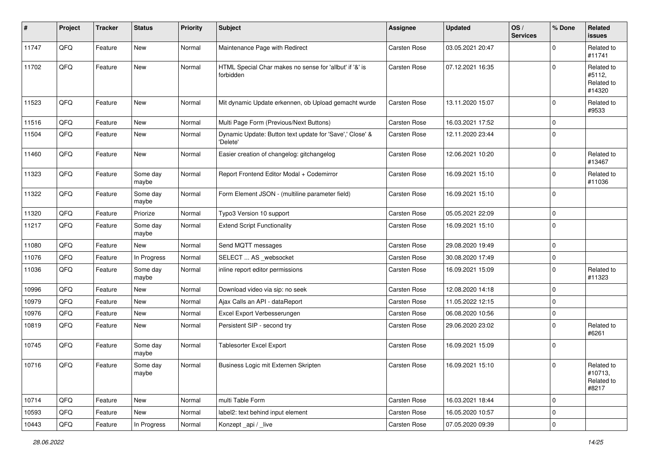| #     | Project | <b>Tracker</b> | <b>Status</b>     | <b>Priority</b> | <b>Subject</b>                                                       | <b>Assignee</b>     | <b>Updated</b>   | OS/<br><b>Services</b> | % Done      | Related<br>issues                            |
|-------|---------|----------------|-------------------|-----------------|----------------------------------------------------------------------|---------------------|------------------|------------------------|-------------|----------------------------------------------|
| 11747 | QFQ     | Feature        | New               | Normal          | Maintenance Page with Redirect                                       | Carsten Rose        | 03.05.2021 20:47 |                        | $\mathbf 0$ | Related to<br>#11741                         |
| 11702 | QFQ     | Feature        | New               | Normal          | HTML Special Char makes no sense for 'allbut' if '&' is<br>forbidden | Carsten Rose        | 07.12.2021 16:35 |                        | $\mathbf 0$ | Related to<br>#5112,<br>Related to<br>#14320 |
| 11523 | QFQ     | Feature        | New               | Normal          | Mit dynamic Update erkennen, ob Upload gemacht wurde                 | Carsten Rose        | 13.11.2020 15:07 |                        | $\mathbf 0$ | Related to<br>#9533                          |
| 11516 | QFQ     | Feature        | New               | Normal          | Multi Page Form (Previous/Next Buttons)                              | Carsten Rose        | 16.03.2021 17:52 |                        | $\mathbf 0$ |                                              |
| 11504 | QFQ     | Feature        | New               | Normal          | Dynamic Update: Button text update for 'Save',' Close' &<br>'Delete' | Carsten Rose        | 12.11.2020 23:44 |                        | $\pmb{0}$   |                                              |
| 11460 | QFQ     | Feature        | New               | Normal          | Easier creation of changelog: gitchangelog                           | Carsten Rose        | 12.06.2021 10:20 |                        | $\pmb{0}$   | Related to<br>#13467                         |
| 11323 | QFQ     | Feature        | Some day<br>maybe | Normal          | Report Frontend Editor Modal + Codemirror                            | <b>Carsten Rose</b> | 16.09.2021 15:10 |                        | $\pmb{0}$   | Related to<br>#11036                         |
| 11322 | QFQ     | Feature        | Some day<br>maybe | Normal          | Form Element JSON - (multiline parameter field)                      | Carsten Rose        | 16.09.2021 15:10 |                        | $\mathbf 0$ |                                              |
| 11320 | QFQ     | Feature        | Priorize          | Normal          | Typo3 Version 10 support                                             | Carsten Rose        | 05.05.2021 22:09 |                        | $\mathbf 0$ |                                              |
| 11217 | QFQ     | Feature        | Some day<br>maybe | Normal          | <b>Extend Script Functionality</b>                                   | Carsten Rose        | 16.09.2021 15:10 |                        | $\mathbf 0$ |                                              |
| 11080 | QFQ     | Feature        | New               | Normal          | Send MQTT messages                                                   | Carsten Rose        | 29.08.2020 19:49 |                        | 0           |                                              |
| 11076 | QFQ     | Feature        | In Progress       | Normal          | SELECT  AS _websocket                                                | Carsten Rose        | 30.08.2020 17:49 |                        | $\mathbf 0$ |                                              |
| 11036 | QFQ     | Feature        | Some day<br>maybe | Normal          | inline report editor permissions                                     | Carsten Rose        | 16.09.2021 15:09 |                        | $\mathbf 0$ | Related to<br>#11323                         |
| 10996 | QFQ     | Feature        | New               | Normal          | Download video via sip: no seek                                      | Carsten Rose        | 12.08.2020 14:18 |                        | $\mathbf 0$ |                                              |
| 10979 | QFQ     | Feature        | New               | Normal          | Ajax Calls an API - dataReport                                       | Carsten Rose        | 11.05.2022 12:15 |                        | 0           |                                              |
| 10976 | QFQ     | Feature        | New               | Normal          | Excel Export Verbesserungen                                          | Carsten Rose        | 06.08.2020 10:56 |                        | 0           |                                              |
| 10819 | QFQ     | Feature        | New               | Normal          | Persistent SIP - second try                                          | Carsten Rose        | 29.06.2020 23:02 |                        | $\mathbf 0$ | Related to<br>#6261                          |
| 10745 | QFQ     | Feature        | Some day<br>maybe | Normal          | <b>Tablesorter Excel Export</b>                                      | Carsten Rose        | 16.09.2021 15:09 |                        | $\mathbf 0$ |                                              |
| 10716 | QFQ     | Feature        | Some day<br>maybe | Normal          | Business Logic mit Externen Skripten                                 | Carsten Rose        | 16.09.2021 15:10 |                        | $\mathbf 0$ | Related to<br>#10713,<br>Related to<br>#8217 |
| 10714 | QFQ     | Feature        | New               | Normal          | multi Table Form                                                     | Carsten Rose        | 16.03.2021 18:44 |                        | $\pmb{0}$   |                                              |
| 10593 | QFQ     | Feature        | New               | Normal          | label2: text behind input element                                    | Carsten Rose        | 16.05.2020 10:57 |                        | 0           |                                              |
| 10443 | QFG     | Feature        | In Progress       | Normal          | Konzept_api / _live                                                  | Carsten Rose        | 07.05.2020 09:39 |                        | $\mathsf 0$ |                                              |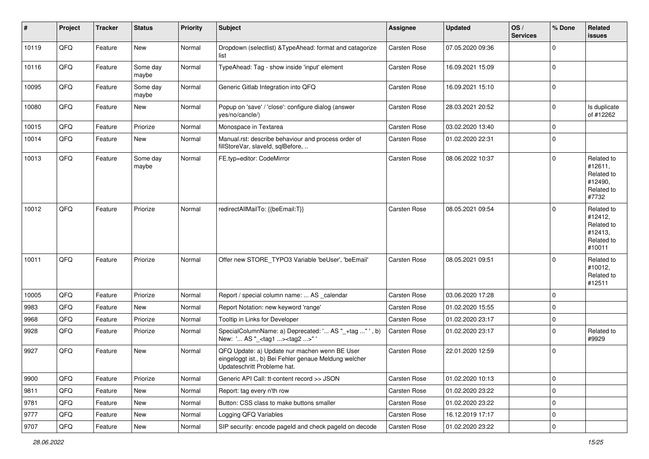| $\vert$ # | Project | <b>Tracker</b> | <b>Status</b>     | <b>Priority</b> | <b>Subject</b>                                                                                                                        | <b>Assignee</b>     | <b>Updated</b>   | OS/<br><b>Services</b> | % Done      | Related<br><b>issues</b>                                               |
|-----------|---------|----------------|-------------------|-----------------|---------------------------------------------------------------------------------------------------------------------------------------|---------------------|------------------|------------------------|-------------|------------------------------------------------------------------------|
| 10119     | QFQ     | Feature        | <b>New</b>        | Normal          | Dropdown (selectlist) & TypeAhead: format and catagorize<br>list                                                                      | <b>Carsten Rose</b> | 07.05.2020 09:36 |                        | $\Omega$    |                                                                        |
| 10116     | QFQ     | Feature        | Some day<br>maybe | Normal          | TypeAhead: Tag - show inside 'input' element                                                                                          | <b>Carsten Rose</b> | 16.09.2021 15:09 |                        | $\mathbf 0$ |                                                                        |
| 10095     | QFQ     | Feature        | Some day<br>maybe | Normal          | Generic Gitlab Integration into QFQ                                                                                                   | Carsten Rose        | 16.09.2021 15:10 |                        | $\Omega$    |                                                                        |
| 10080     | QFQ     | Feature        | New               | Normal          | Popup on 'save' / 'close': configure dialog (answer<br>yes/no/cancle/)                                                                | Carsten Rose        | 28.03.2021 20:52 |                        | 0           | Is duplicate<br>of #12262                                              |
| 10015     | QFQ     | Feature        | Priorize          | Normal          | Monospace in Textarea                                                                                                                 | <b>Carsten Rose</b> | 03.02.2020 13:40 |                        | $\mathbf 0$ |                                                                        |
| 10014     | QFQ     | Feature        | New               | Normal          | Manual.rst: describe behaviour and process order of<br>fillStoreVar, slaveld, sqlBefore,                                              | Carsten Rose        | 01.02.2020 22:31 |                        | $\Omega$    |                                                                        |
| 10013     | QFQ     | Feature        | Some day<br>maybe | Normal          | FE.typ=editor: CodeMirror                                                                                                             | <b>Carsten Rose</b> | 08.06.2022 10:37 |                        | $\Omega$    | Related to<br>#12611,<br>Related to<br>#12490,<br>Related to<br>#7732  |
| 10012     | QFQ     | Feature        | Priorize          | Normal          | redirectAllMailTo: {{beEmail:T}}                                                                                                      | Carsten Rose        | 08.05.2021 09:54 |                        | $\mathbf 0$ | Related to<br>#12412,<br>Related to<br>#12413,<br>Related to<br>#10011 |
| 10011     | QFQ     | Feature        | Priorize          | Normal          | Offer new STORE_TYPO3 Variable 'beUser', 'beEmail'                                                                                    | <b>Carsten Rose</b> | 08.05.2021 09:51 |                        | $\mathbf 0$ | Related to<br>#10012,<br>Related to<br>#12511                          |
| 10005     | QFQ     | Feature        | Priorize          | Normal          | Report / special column name:  AS _calendar                                                                                           | Carsten Rose        | 03.06.2020 17:28 |                        | $\mathbf 0$ |                                                                        |
| 9983      | QFQ     | Feature        | <b>New</b>        | Normal          | Report Notation: new keyword 'range'                                                                                                  | Carsten Rose        | 01.02.2020 15:55 |                        | $\mathbf 0$ |                                                                        |
| 9968      | QFQ     | Feature        | Priorize          | Normal          | Tooltip in Links for Developer                                                                                                        | <b>Carsten Rose</b> | 01.02.2020 23:17 |                        | $\pmb{0}$   |                                                                        |
| 9928      | QFQ     | Feature        | Priorize          | Normal          | SpecialColumnName: a) Deprecated: ' AS "_+tag " ', b)<br>New: ' AS "_ <tag1><tag2>"</tag2></tag1>                                     | Carsten Rose        | 01.02.2020 23:17 |                        | $\mathbf 0$ | Related to<br>#9929                                                    |
| 9927      | QFQ     | Feature        | <b>New</b>        | Normal          | QFQ Update: a) Update nur machen wenn BE User<br>eingeloggt ist., b) Bei Fehler genaue Meldung welcher<br>Updateschritt Probleme hat. | <b>Carsten Rose</b> | 22.01.2020 12:59 |                        | $\mathbf 0$ |                                                                        |
| 9900      | QFQ     | Feature        | Priorize          | Normal          | Generic API Call: tt-content record >> JSON                                                                                           | Carsten Rose        | 01.02.2020 10:13 |                        | 0           |                                                                        |
| 9811      | QFQ     | Feature        | New               | Normal          | Report: tag every n'th row                                                                                                            | Carsten Rose        | 01.02.2020 23:22 |                        | $\mathbf 0$ |                                                                        |
| 9781      | QFQ     | Feature        | New               | Normal          | Button: CSS class to make buttons smaller                                                                                             | Carsten Rose        | 01.02.2020 23:22 |                        | 0           |                                                                        |
| 9777      | QFQ     | Feature        | New               | Normal          | Logging QFQ Variables                                                                                                                 | Carsten Rose        | 16.12.2019 17:17 |                        | 0           |                                                                        |
| 9707      | QFQ     | Feature        | New               | Normal          | SIP security: encode pageld and check pageld on decode                                                                                | Carsten Rose        | 01.02.2020 23:22 |                        | $\pmb{0}$   |                                                                        |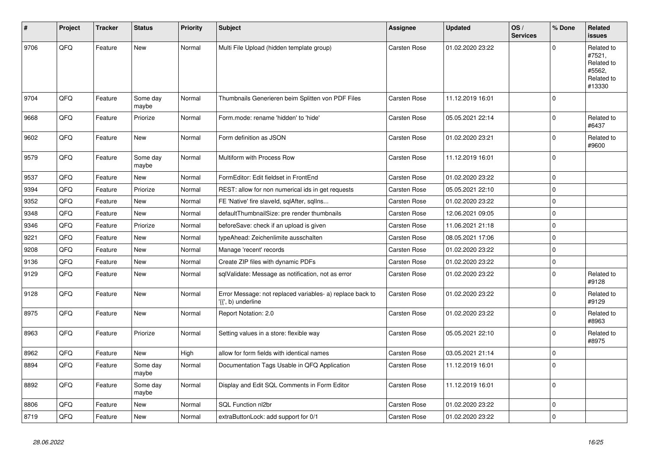| #    | Project | <b>Tracker</b> | <b>Status</b>     | <b>Priority</b> | <b>Subject</b>                                                                  | <b>Assignee</b>     | <b>Updated</b>   | OS/<br><b>Services</b> | % Done      | Related<br><b>issues</b>                                             |
|------|---------|----------------|-------------------|-----------------|---------------------------------------------------------------------------------|---------------------|------------------|------------------------|-------------|----------------------------------------------------------------------|
| 9706 | QFQ     | Feature        | <b>New</b>        | Normal          | Multi File Upload (hidden template group)                                       | Carsten Rose        | 01.02.2020 23:22 |                        | $\Omega$    | Related to<br>#7521,<br>Related to<br>#5562,<br>Related to<br>#13330 |
| 9704 | QFQ     | Feature        | Some day<br>maybe | Normal          | Thumbnails Generieren beim Splitten von PDF Files                               | <b>Carsten Rose</b> | 11.12.2019 16:01 |                        | $\mathbf 0$ |                                                                      |
| 9668 | QFQ     | Feature        | Priorize          | Normal          | Form.mode: rename 'hidden' to 'hide'                                            | Carsten Rose        | 05.05.2021 22:14 |                        | $\mathbf 0$ | Related to<br>#6437                                                  |
| 9602 | QFQ     | Feature        | <b>New</b>        | Normal          | Form definition as JSON                                                         | <b>Carsten Rose</b> | 01.02.2020 23:21 |                        | $\mathbf 0$ | Related to<br>#9600                                                  |
| 9579 | QFQ     | Feature        | Some day<br>maybe | Normal          | Multiform with Process Row                                                      | Carsten Rose        | 11.12.2019 16:01 |                        | $\pmb{0}$   |                                                                      |
| 9537 | QFQ     | Feature        | <b>New</b>        | Normal          | FormEditor: Edit fieldset in FrontEnd                                           | Carsten Rose        | 01.02.2020 23:22 |                        | $\mathbf 0$ |                                                                      |
| 9394 | QFQ     | Feature        | Priorize          | Normal          | REST: allow for non numerical ids in get requests                               | Carsten Rose        | 05.05.2021 22:10 |                        | $\pmb{0}$   |                                                                      |
| 9352 | QFQ     | Feature        | <b>New</b>        | Normal          | FE 'Native' fire slaveld, sqlAfter, sqlIns                                      | Carsten Rose        | 01.02.2020 23:22 |                        | $\mathbf 0$ |                                                                      |
| 9348 | QFQ     | Feature        | <b>New</b>        | Normal          | defaultThumbnailSize: pre render thumbnails                                     | <b>Carsten Rose</b> | 12.06.2021 09:05 |                        | $\mathbf 0$ |                                                                      |
| 9346 | QFQ     | Feature        | Priorize          | Normal          | beforeSave: check if an upload is given                                         | Carsten Rose        | 11.06.2021 21:18 |                        | $\mathbf 0$ |                                                                      |
| 9221 | QFQ     | Feature        | <b>New</b>        | Normal          | typeAhead: Zeichenlimite ausschalten                                            | Carsten Rose        | 08.05.2021 17:06 |                        | $\mathbf 0$ |                                                                      |
| 9208 | QFQ     | Feature        | <b>New</b>        | Normal          | Manage 'recent' records                                                         | Carsten Rose        | 01.02.2020 23:22 |                        | $\mathbf 0$ |                                                                      |
| 9136 | QFQ     | Feature        | <b>New</b>        | Normal          | Create ZIP files with dynamic PDFs                                              | Carsten Rose        | 01.02.2020 23:22 |                        | $\mathbf 0$ |                                                                      |
| 9129 | QFQ     | Feature        | <b>New</b>        | Normal          | sqlValidate: Message as notification, not as error                              | <b>Carsten Rose</b> | 01.02.2020 23:22 |                        | $\mathbf 0$ | Related to<br>#9128                                                  |
| 9128 | QFQ     | Feature        | <b>New</b>        | Normal          | Error Message: not replaced variables- a) replace back to<br>'{{', b) underline | Carsten Rose        | 01.02.2020 23:22 |                        | $\mathbf 0$ | Related to<br>#9129                                                  |
| 8975 | QFQ     | Feature        | <b>New</b>        | Normal          | Report Notation: 2.0                                                            | Carsten Rose        | 01.02.2020 23:22 |                        | $\pmb{0}$   | Related to<br>#8963                                                  |
| 8963 | QFQ     | Feature        | Priorize          | Normal          | Setting values in a store: flexible way                                         | Carsten Rose        | 05.05.2021 22:10 |                        | $\mathbf 0$ | Related to<br>#8975                                                  |
| 8962 | QFQ     | Feature        | <b>New</b>        | High            | allow for form fields with identical names                                      | <b>Carsten Rose</b> | 03.05.2021 21:14 |                        | $\pmb{0}$   |                                                                      |
| 8894 | QFQ     | Feature        | Some day<br>maybe | Normal          | Documentation Tags Usable in QFQ Application                                    | Carsten Rose        | 11.12.2019 16:01 |                        | $\Omega$    |                                                                      |
| 8892 | QFQ     | Feature        | Some day<br>maybe | Normal          | Display and Edit SQL Comments in Form Editor                                    | Carsten Rose        | 11.12.2019 16:01 |                        | $\pmb{0}$   |                                                                      |
| 8806 | QFQ     | Feature        | <b>New</b>        | Normal          | SQL Function nl2br                                                              | Carsten Rose        | 01.02.2020 23:22 |                        | $\pmb{0}$   |                                                                      |
| 8719 | QFQ     | Feature        | <b>New</b>        | Normal          | extraButtonLock: add support for 0/1                                            | Carsten Rose        | 01.02.2020 23:22 |                        | $\pmb{0}$   |                                                                      |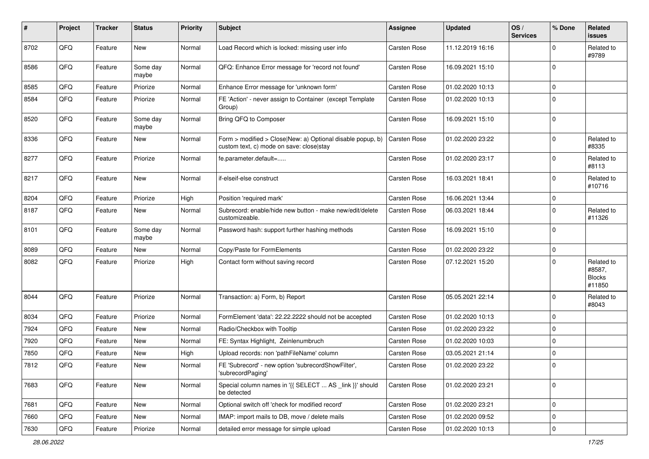| #    | Project | <b>Tracker</b> | <b>Status</b>     | <b>Priority</b> | <b>Subject</b>                                                                                         | Assignee     | <b>Updated</b>   | OS/<br><b>Services</b> | % Done      | <b>Related</b><br>issues                        |
|------|---------|----------------|-------------------|-----------------|--------------------------------------------------------------------------------------------------------|--------------|------------------|------------------------|-------------|-------------------------------------------------|
| 8702 | QFQ     | Feature        | <b>New</b>        | Normal          | Load Record which is locked: missing user info                                                         | Carsten Rose | 11.12.2019 16:16 |                        | $\Omega$    | Related to<br>#9789                             |
| 8586 | QFQ     | Feature        | Some day<br>maybe | Normal          | QFQ: Enhance Error message for 'record not found'                                                      | Carsten Rose | 16.09.2021 15:10 |                        | $\Omega$    |                                                 |
| 8585 | QFQ     | Feature        | Priorize          | Normal          | Enhance Error message for 'unknown form'                                                               | Carsten Rose | 01.02.2020 10:13 |                        | $\Omega$    |                                                 |
| 8584 | QFQ     | Feature        | Priorize          | Normal          | FE 'Action' - never assign to Container (except Template<br>Group)                                     | Carsten Rose | 01.02.2020 10:13 |                        | $\Omega$    |                                                 |
| 8520 | QFQ     | Feature        | Some day<br>maybe | Normal          | Bring QFQ to Composer                                                                                  | Carsten Rose | 16.09.2021 15:10 |                        | $\Omega$    |                                                 |
| 8336 | QFQ     | Feature        | New               | Normal          | Form > modified > Close New: a) Optional disable popup, b)<br>custom text, c) mode on save: close stay | Carsten Rose | 01.02.2020 23:22 |                        | $\mathbf 0$ | Related to<br>#8335                             |
| 8277 | QFQ     | Feature        | Priorize          | Normal          | fe.parameter.default=                                                                                  | Carsten Rose | 01.02.2020 23:17 |                        | $\mathbf 0$ | Related to<br>#8113                             |
| 8217 | QFQ     | Feature        | New               | Normal          | if-elseif-else construct                                                                               | Carsten Rose | 16.03.2021 18:41 |                        | $\mathbf 0$ | Related to<br>#10716                            |
| 8204 | QFQ     | Feature        | Priorize          | High            | Position 'required mark'                                                                               | Carsten Rose | 16.06.2021 13:44 |                        | $\mathbf 0$ |                                                 |
| 8187 | QFQ     | Feature        | New               | Normal          | Subrecord: enable/hide new button - make new/edit/delete<br>customizeable.                             | Carsten Rose | 06.03.2021 18:44 |                        | $\mathbf 0$ | Related to<br>#11326                            |
| 8101 | QFQ     | Feature        | Some day<br>maybe | Normal          | Password hash: support further hashing methods                                                         | Carsten Rose | 16.09.2021 15:10 |                        | $\Omega$    |                                                 |
| 8089 | QFQ     | Feature        | New               | Normal          | Copy/Paste for FormElements                                                                            | Carsten Rose | 01.02.2020 23:22 |                        | $\mathbf 0$ |                                                 |
| 8082 | QFQ     | Feature        | Priorize          | High            | Contact form without saving record                                                                     | Carsten Rose | 07.12.2021 15:20 |                        | $\Omega$    | Related to<br>#8587,<br><b>Blocks</b><br>#11850 |
| 8044 | QFQ     | Feature        | Priorize          | Normal          | Transaction: a) Form, b) Report                                                                        | Carsten Rose | 05.05.2021 22:14 |                        | $\Omega$    | Related to<br>#8043                             |
| 8034 | QFQ     | Feature        | Priorize          | Normal          | FormElement 'data': 22.22.2222 should not be accepted                                                  | Carsten Rose | 01.02.2020 10:13 |                        | $\mathbf 0$ |                                                 |
| 7924 | QFQ     | Feature        | <b>New</b>        | Normal          | Radio/Checkbox with Tooltip                                                                            | Carsten Rose | 01.02.2020 23:22 |                        | $\Omega$    |                                                 |
| 7920 | QFQ     | Feature        | New               | Normal          | FE: Syntax Highlight, Zeinlenumbruch                                                                   | Carsten Rose | 01.02.2020 10:03 |                        | $\Omega$    |                                                 |
| 7850 | QFQ     | Feature        | <b>New</b>        | High            | Upload records: non 'pathFileName' column                                                              | Carsten Rose | 03.05.2021 21:14 |                        | $\mathbf 0$ |                                                 |
| 7812 | QFQ     | Feature        | New               | Normal          | FE 'Subrecord' - new option 'subrecordShowFilter',<br>'subrecordPaging'                                | Carsten Rose | 01.02.2020 23:22 |                        | $\Omega$    |                                                 |
| 7683 | QFQ     | Feature        | New               | Normal          | Special column names in '{{ SELECT  AS _link }}' should<br>be detected                                 | Carsten Rose | 01.02.2020 23:21 |                        | $\mathbf 0$ |                                                 |
| 7681 | QFQ     | Feature        | New               | Normal          | Optional switch off 'check for modified record'                                                        | Carsten Rose | 01.02.2020 23:21 |                        | $\mathbf 0$ |                                                 |
| 7660 | QFQ     | Feature        | New               | Normal          | IMAP: import mails to DB, move / delete mails                                                          | Carsten Rose | 01.02.2020 09:52 |                        | 0           |                                                 |
| 7630 | QFQ     | Feature        | Priorize          | Normal          | detailed error message for simple upload                                                               | Carsten Rose | 01.02.2020 10:13 |                        | $\mathbf 0$ |                                                 |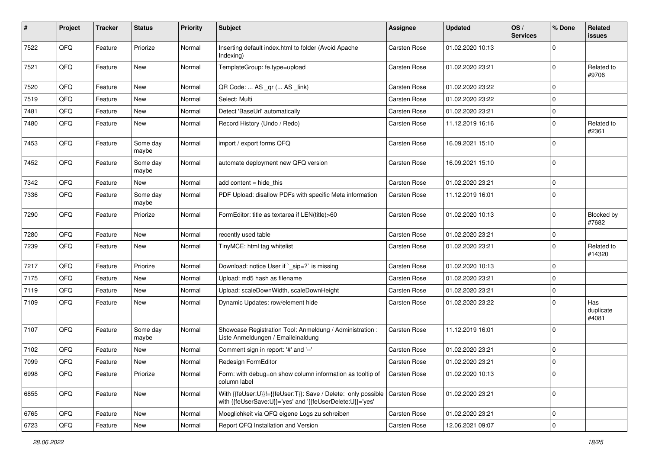| #    | Project | <b>Tracker</b> | <b>Status</b>     | <b>Priority</b> | <b>Subject</b>                                                                                                             | <b>Assignee</b>     | <b>Updated</b>   | OS/<br><b>Services</b> | % Done              | Related<br><b>issues</b>  |
|------|---------|----------------|-------------------|-----------------|----------------------------------------------------------------------------------------------------------------------------|---------------------|------------------|------------------------|---------------------|---------------------------|
| 7522 | QFQ     | Feature        | Priorize          | Normal          | Inserting default index.html to folder (Avoid Apache<br>Indexing)                                                          | Carsten Rose        | 01.02.2020 10:13 |                        | $\mathbf 0$         |                           |
| 7521 | QFQ     | Feature        | New               | Normal          | TemplateGroup: fe.type=upload                                                                                              | Carsten Rose        | 01.02.2020 23:21 |                        | $\mathbf 0$         | Related to<br>#9706       |
| 7520 | QFQ     | Feature        | <b>New</b>        | Normal          | QR Code:  AS _qr ( AS _link)                                                                                               | Carsten Rose        | 01.02.2020 23:22 |                        | $\mathbf 0$         |                           |
| 7519 | QFQ     | Feature        | <b>New</b>        | Normal          | Select: Multi                                                                                                              | Carsten Rose        | 01.02.2020 23:22 |                        | $\mathbf 0$         |                           |
| 7481 | QFQ     | Feature        | New               | Normal          | Detect 'BaseUrl' automatically                                                                                             | Carsten Rose        | 01.02.2020 23:21 |                        | $\mathbf 0$         |                           |
| 7480 | QFQ     | Feature        | New               | Normal          | Record History (Undo / Redo)                                                                                               | Carsten Rose        | 11.12.2019 16:16 |                        | $\mathbf 0$         | Related to<br>#2361       |
| 7453 | QFQ     | Feature        | Some day<br>maybe | Normal          | import / export forms QFQ                                                                                                  | Carsten Rose        | 16.09.2021 15:10 |                        | $\mathbf 0$         |                           |
| 7452 | QFQ     | Feature        | Some day<br>maybe | Normal          | automate deployment new QFQ version                                                                                        | Carsten Rose        | 16.09.2021 15:10 |                        | $\mathbf 0$         |                           |
| 7342 | QFQ     | Feature        | New               | Normal          | add content $=$ hide this                                                                                                  | Carsten Rose        | 01.02.2020 23:21 |                        | $\mathbf 0$         |                           |
| 7336 | QFQ     | Feature        | Some day<br>maybe | Normal          | PDF Upload: disallow PDFs with specific Meta information                                                                   | <b>Carsten Rose</b> | 11.12.2019 16:01 |                        | $\mathbf 0$         |                           |
| 7290 | QFQ     | Feature        | Priorize          | Normal          | FormEditor: title as textarea if LEN(title)>60                                                                             | Carsten Rose        | 01.02.2020 10:13 |                        | $\mathbf 0$         | Blocked by<br>#7682       |
| 7280 | QFQ     | Feature        | <b>New</b>        | Normal          | recently used table                                                                                                        | Carsten Rose        | 01.02.2020 23:21 |                        | $\mathbf 0$         |                           |
| 7239 | QFQ     | Feature        | <b>New</b>        | Normal          | TinyMCE: html tag whitelist                                                                                                | Carsten Rose        | 01.02.2020 23:21 |                        | $\mathbf 0$         | Related to<br>#14320      |
| 7217 | QFQ     | Feature        | Priorize          | Normal          | Download: notice User if `_sip=?` is missing                                                                               | Carsten Rose        | 01.02.2020 10:13 |                        | $\mathbf 0$         |                           |
| 7175 | QFQ     | Feature        | <b>New</b>        | Normal          | Upload: md5 hash as filename                                                                                               | Carsten Rose        | 01.02.2020 23:21 |                        | $\mathbf 0$         |                           |
| 7119 | QFQ     | Feature        | New               | Normal          | Upload: scaleDownWidth, scaleDownHeight                                                                                    | Carsten Rose        | 01.02.2020 23:21 |                        | $\mathbf 0$         |                           |
| 7109 | QFQ     | Feature        | New               | Normal          | Dynamic Updates: row/element hide                                                                                          | Carsten Rose        | 01.02.2020 23:22 |                        | $\mathbf 0$         | Has<br>duplicate<br>#4081 |
| 7107 | QFQ     | Feature        | Some day<br>maybe | Normal          | Showcase Registration Tool: Anmeldung / Administration :<br>Liste Anmeldungen / Emaileinaldung                             | Carsten Rose        | 11.12.2019 16:01 |                        | $\mathbf 0$         |                           |
| 7102 | QFQ     | Feature        | New               | Normal          | Comment sign in report: '#' and '--'                                                                                       | Carsten Rose        | 01.02.2020 23:21 |                        | $\mathbf 0$         |                           |
| 7099 | QFQ     | Feature        | <b>New</b>        | Normal          | Redesign FormEditor                                                                                                        | Carsten Rose        | 01.02.2020 23:21 |                        | $\mathbf 0$         |                           |
| 6998 | QFG     | Feature        | Priorize          | Normal          | Form: with debug=on show column information as tooltip of<br>column label                                                  | Carsten Rose        | 01.02.2020 10:13 |                        | $\mathsf 0$         |                           |
| 6855 | QFG     | Feature        | New               | Normal          | With {{feUser:U}}!={{feUser:T}}: Save / Delete: only possible<br>with {{feUserSave:U}}='yes' and '{{feUserDelete:U}}='yes' | Carsten Rose        | 01.02.2020 23:21 |                        | $\mathsf 0$         |                           |
| 6765 | QFQ     | Feature        | New               | Normal          | Moeglichkeit via QFQ eigene Logs zu schreiben                                                                              | Carsten Rose        | 01.02.2020 23:21 |                        | $\pmb{0}$           |                           |
| 6723 | QFQ     | Feature        | New               | Normal          | Report QFQ Installation and Version                                                                                        | Carsten Rose        | 12.06.2021 09:07 |                        | $\mathsf{O}\xspace$ |                           |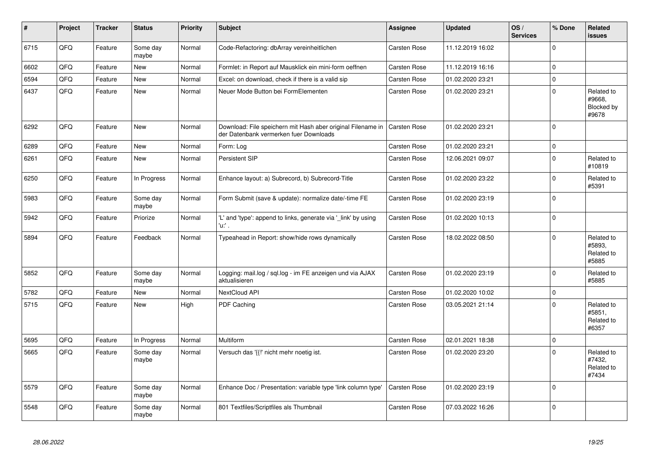| $\vert$ # | Project | <b>Tracker</b> | <b>Status</b>     | <b>Priority</b> | <b>Subject</b>                                                                                        | <b>Assignee</b>     | <b>Updated</b>   | OS/<br><b>Services</b> | % Done      | <b>Related</b><br><b>issues</b>             |
|-----------|---------|----------------|-------------------|-----------------|-------------------------------------------------------------------------------------------------------|---------------------|------------------|------------------------|-------------|---------------------------------------------|
| 6715      | QFQ     | Feature        | Some day<br>maybe | Normal          | Code-Refactoring: dbArray vereinheitlichen                                                            | Carsten Rose        | 11.12.2019 16:02 |                        | $\mathbf 0$ |                                             |
| 6602      | QFQ     | Feature        | New               | Normal          | Formlet: in Report auf Mausklick ein mini-form oeffnen                                                | Carsten Rose        | 11.12.2019 16:16 |                        | $\pmb{0}$   |                                             |
| 6594      | QFQ     | Feature        | <b>New</b>        | Normal          | Excel: on download, check if there is a valid sip                                                     | Carsten Rose        | 01.02.2020 23:21 |                        | $\pmb{0}$   |                                             |
| 6437      | QFQ     | Feature        | <b>New</b>        | Normal          | Neuer Mode Button bei FormElementen                                                                   | <b>Carsten Rose</b> | 01.02.2020 23:21 |                        | $\mathbf 0$ | Related to<br>#9668.<br>Blocked by<br>#9678 |
| 6292      | QFQ     | Feature        | <b>New</b>        | Normal          | Download: File speichern mit Hash aber original Filename in<br>der Datenbank vermerken fuer Downloads | <b>Carsten Rose</b> | 01.02.2020 23:21 |                        | $\mathbf 0$ |                                             |
| 6289      | QFQ     | Feature        | <b>New</b>        | Normal          | Form: Log                                                                                             | Carsten Rose        | 01.02.2020 23:21 |                        | $\mathbf 0$ |                                             |
| 6261      | QFQ     | Feature        | <b>New</b>        | Normal          | <b>Persistent SIP</b>                                                                                 | <b>Carsten Rose</b> | 12.06.2021 09:07 |                        | $\mathbf 0$ | Related to<br>#10819                        |
| 6250      | QFQ     | Feature        | In Progress       | Normal          | Enhance layout: a) Subrecord, b) Subrecord-Title                                                      | <b>Carsten Rose</b> | 01.02.2020 23:22 |                        | $\mathbf 0$ | Related to<br>#5391                         |
| 5983      | QFQ     | Feature        | Some day<br>maybe | Normal          | Form Submit (save & update): normalize date/-time FE                                                  | <b>Carsten Rose</b> | 01.02.2020 23:19 |                        | $\mathbf 0$ |                                             |
| 5942      | QFQ     | Feature        | Priorize          | Normal          | 'L' and 'type': append to links, generate via '_link' by using<br>'u:' .                              | Carsten Rose        | 01.02.2020 10:13 |                        | $\mathbf 0$ |                                             |
| 5894      | QFQ     | Feature        | Feedback          | Normal          | Typeahead in Report: show/hide rows dynamically                                                       | Carsten Rose        | 18.02.2022 08:50 |                        | $\mathbf 0$ | Related to<br>#5893,<br>Related to<br>#5885 |
| 5852      | QFQ     | Feature        | Some day<br>maybe | Normal          | Logging: mail.log / sql.log - im FE anzeigen und via AJAX<br>aktualisieren                            | Carsten Rose        | 01.02.2020 23:19 |                        | $\Omega$    | Related to<br>#5885                         |
| 5782      | QFQ     | Feature        | <b>New</b>        | Normal          | NextCloud API                                                                                         | Carsten Rose        | 01.02.2020 10:02 |                        | $\pmb{0}$   |                                             |
| 5715      | QFQ     | Feature        | <b>New</b>        | High            | PDF Caching                                                                                           | <b>Carsten Rose</b> | 03.05.2021 21:14 |                        | $\mathbf 0$ | Related to<br>#5851,<br>Related to<br>#6357 |
| 5695      | QFQ     | Feature        | In Progress       | Normal          | Multiform                                                                                             | Carsten Rose        | 02.01.2021 18:38 |                        | $\mathbf 0$ |                                             |
| 5665      | QFQ     | Feature        | Some day<br>maybe | Normal          | Versuch das '{{!' nicht mehr noetig ist.                                                              | Carsten Rose        | 01.02.2020 23:20 |                        | $\mathbf 0$ | Related to<br>#7432,<br>Related to<br>#7434 |
| 5579      | QFQ     | Feature        | Some day<br>maybe | Normal          | Enhance Doc / Presentation: variable type 'link column type'                                          | <b>Carsten Rose</b> | 01.02.2020 23:19 |                        | $\mathbf 0$ |                                             |
| 5548      | QFQ     | Feature        | Some day<br>maybe | Normal          | 801 Textfiles/Scriptfiles als Thumbnail                                                               | <b>Carsten Rose</b> | 07.03.2022 16:26 |                        | $\mathbf 0$ |                                             |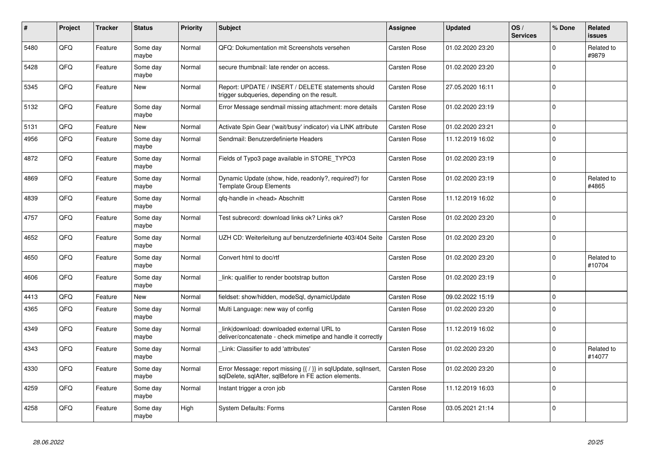| #    | Project | <b>Tracker</b> | <b>Status</b>     | <b>Priority</b> | <b>Subject</b>                                                                                                          | <b>Assignee</b>     | <b>Updated</b>   | OS/<br><b>Services</b> | % Done      | Related<br><b>issues</b> |
|------|---------|----------------|-------------------|-----------------|-------------------------------------------------------------------------------------------------------------------------|---------------------|------------------|------------------------|-------------|--------------------------|
| 5480 | QFQ     | Feature        | Some day<br>maybe | Normal          | QFQ: Dokumentation mit Screenshots versehen                                                                             | <b>Carsten Rose</b> | 01.02.2020 23:20 |                        | $\mathbf 0$ | Related to<br>#9879      |
| 5428 | QFQ     | Feature        | Some day<br>maybe | Normal          | secure thumbnail: late render on access.                                                                                | Carsten Rose        | 01.02.2020 23:20 |                        | $\mathbf 0$ |                          |
| 5345 | QFQ     | Feature        | New               | Normal          | Report: UPDATE / INSERT / DELETE statements should<br>trigger subqueries, depending on the result.                      | Carsten Rose        | 27.05.2020 16:11 |                        | $\mathbf 0$ |                          |
| 5132 | QFQ     | Feature        | Some day<br>maybe | Normal          | Error Message sendmail missing attachment: more details                                                                 | <b>Carsten Rose</b> | 01.02.2020 23:19 |                        | $\Omega$    |                          |
| 5131 | QFQ     | Feature        | New               | Normal          | Activate Spin Gear ('wait/busy' indicator) via LINK attribute                                                           | Carsten Rose        | 01.02.2020 23:21 |                        | $\mathbf 0$ |                          |
| 4956 | QFQ     | Feature        | Some day<br>maybe | Normal          | Sendmail: Benutzerdefinierte Headers                                                                                    | Carsten Rose        | 11.12.2019 16:02 |                        | $\mathbf 0$ |                          |
| 4872 | QFQ     | Feature        | Some day<br>maybe | Normal          | Fields of Typo3 page available in STORE_TYPO3                                                                           | Carsten Rose        | 01.02.2020 23:19 |                        | $\Omega$    |                          |
| 4869 | QFQ     | Feature        | Some day<br>maybe | Normal          | Dynamic Update (show, hide, readonly?, required?) for<br><b>Template Group Elements</b>                                 | Carsten Rose        | 01.02.2020 23:19 |                        | $\mathbf 0$ | Related to<br>#4865      |
| 4839 | QFQ     | Feature        | Some day<br>maybe | Normal          | gfg-handle in <head> Abschnitt</head>                                                                                   | Carsten Rose        | 11.12.2019 16:02 |                        | $\Omega$    |                          |
| 4757 | QFQ     | Feature        | Some day<br>maybe | Normal          | Test subrecord: download links ok? Links ok?                                                                            | Carsten Rose        | 01.02.2020 23:20 |                        | $\mathbf 0$ |                          |
| 4652 | QFQ     | Feature        | Some day<br>maybe | Normal          | UZH CD: Weiterleitung auf benutzerdefinierte 403/404 Seite                                                              | <b>Carsten Rose</b> | 01.02.2020 23:20 |                        | $\mathbf 0$ |                          |
| 4650 | QFQ     | Feature        | Some day<br>maybe | Normal          | Convert html to doc/rtf                                                                                                 | Carsten Rose        | 01.02.2020 23:20 |                        | $\Omega$    | Related to<br>#10704     |
| 4606 | QFQ     | Feature        | Some day<br>maybe | Normal          | link: qualifier to render bootstrap button                                                                              | Carsten Rose        | 01.02.2020 23:19 |                        | $\mathbf 0$ |                          |
| 4413 | QFQ     | Feature        | <b>New</b>        | Normal          | fieldset: show/hidden, modeSgl, dynamicUpdate                                                                           | Carsten Rose        | 09.02.2022 15:19 |                        | $\mathsf 0$ |                          |
| 4365 | QFQ     | Feature        | Some day<br>maybe | Normal          | Multi Language: new way of config                                                                                       | Carsten Rose        | 01.02.2020 23:20 |                        | $\Omega$    |                          |
| 4349 | QFQ     | Feature        | Some day<br>maybe | Normal          | link download: downloaded external URL to<br>deliver/concatenate - check mimetipe and handle it correctly               | Carsten Rose        | 11.12.2019 16:02 |                        | $\mathsf 0$ |                          |
| 4343 | QFQ     | Feature        | Some day<br>maybe | Normal          | Link: Classifier to add 'attributes'                                                                                    | Carsten Rose        | 01.02.2020 23:20 |                        | $\mathbf 0$ | Related to<br>#14077     |
| 4330 | QFQ     | Feature        | Some day<br>maybe | Normal          | Error Message: report missing {{ / }} in sqlUpdate, sqlInsert,<br>sqlDelete, sqlAfter, sqlBefore in FE action elements. | Carsten Rose        | 01.02.2020 23:20 |                        | $\Omega$    |                          |
| 4259 | QFQ     | Feature        | Some day<br>maybe | Normal          | Instant trigger a cron job                                                                                              | Carsten Rose        | 11.12.2019 16:03 |                        | $\Omega$    |                          |
| 4258 | QFQ     | Feature        | Some day<br>maybe | High            | <b>System Defaults: Forms</b>                                                                                           | Carsten Rose        | 03.05.2021 21:14 |                        | $\mathbf 0$ |                          |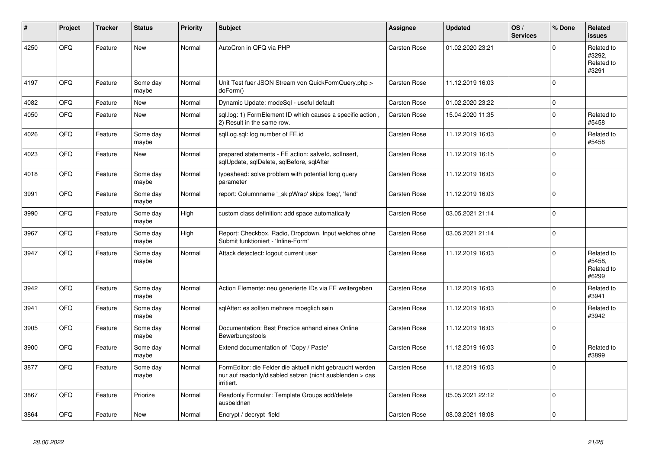| #    | Project | <b>Tracker</b> | <b>Status</b>     | <b>Priority</b> | <b>Subject</b>                                                                                                                      | Assignee     | <b>Updated</b>   | OS/<br><b>Services</b> | % Done      | Related<br><b>issues</b>                    |
|------|---------|----------------|-------------------|-----------------|-------------------------------------------------------------------------------------------------------------------------------------|--------------|------------------|------------------------|-------------|---------------------------------------------|
| 4250 | QFQ     | Feature        | <b>New</b>        | Normal          | AutoCron in QFQ via PHP                                                                                                             | Carsten Rose | 01.02.2020 23:21 |                        | $\Omega$    | Related to<br>#3292,<br>Related to<br>#3291 |
| 4197 | QFQ     | Feature        | Some day<br>maybe | Normal          | Unit Test fuer JSON Stream von QuickFormQuery.php ><br>doForm()                                                                     | Carsten Rose | 11.12.2019 16:03 |                        | $\mathbf 0$ |                                             |
| 4082 | QFQ     | Feature        | <b>New</b>        | Normal          | Dynamic Update: modeSql - useful default                                                                                            | Carsten Rose | 01.02.2020 23:22 |                        | $\mathbf 0$ |                                             |
| 4050 | QFQ     | Feature        | <b>New</b>        | Normal          | sql.log: 1) FormElement ID which causes a specific action.<br>2) Result in the same row.                                            | Carsten Rose | 15.04.2020 11:35 |                        | $\mathbf 0$ | Related to<br>#5458                         |
| 4026 | QFQ     | Feature        | Some day<br>maybe | Normal          | sglLog.sgl: log number of FE.id                                                                                                     | Carsten Rose | 11.12.2019 16:03 |                        | $\Omega$    | Related to<br>#5458                         |
| 4023 | QFQ     | Feature        | <b>New</b>        | Normal          | prepared statements - FE action: salveld, sqllnsert,<br>sqlUpdate, sqlDelete, sqlBefore, sqlAfter                                   | Carsten Rose | 11.12.2019 16:15 |                        | $\mathbf 0$ |                                             |
| 4018 | QFQ     | Feature        | Some day<br>maybe | Normal          | typeahead: solve problem with potential long query<br>parameter                                                                     | Carsten Rose | 11.12.2019 16:03 |                        | $\mathbf 0$ |                                             |
| 3991 | QFQ     | Feature        | Some day<br>maybe | Normal          | report: Columnname ' skipWrap' skips 'fbeg', 'fend'                                                                                 | Carsten Rose | 11.12.2019 16:03 |                        | $\mathbf 0$ |                                             |
| 3990 | QFQ     | Feature        | Some day<br>maybe | High            | custom class definition: add space automatically                                                                                    | Carsten Rose | 03.05.2021 21:14 |                        | $\Omega$    |                                             |
| 3967 | QFQ     | Feature        | Some day<br>maybe | High            | Report: Checkbox, Radio, Dropdown, Input welches ohne<br>Submit funktioniert - 'Inline-Form'                                        | Carsten Rose | 03.05.2021 21:14 |                        | $\Omega$    |                                             |
| 3947 | QFQ     | Feature        | Some day<br>maybe | Normal          | Attack detectect: logout current user                                                                                               | Carsten Rose | 11.12.2019 16:03 |                        | $\Omega$    | Related to<br>#5458.<br>Related to<br>#6299 |
| 3942 | QFQ     | Feature        | Some day<br>maybe | Normal          | Action Elemente: neu generierte IDs via FE weitergeben                                                                              | Carsten Rose | 11.12.2019 16:03 |                        | $\mathbf 0$ | Related to<br>#3941                         |
| 3941 | QFQ     | Feature        | Some day<br>maybe | Normal          | sqlAfter: es sollten mehrere moeglich sein                                                                                          | Carsten Rose | 11.12.2019 16:03 |                        | $\mathbf 0$ | Related to<br>#3942                         |
| 3905 | QFQ     | Feature        | Some day<br>maybe | Normal          | Documentation: Best Practice anhand eines Online<br>Bewerbungstools                                                                 | Carsten Rose | 11.12.2019 16:03 |                        | $\mathbf 0$ |                                             |
| 3900 | QFQ     | Feature        | Some day<br>maybe | Normal          | Extend documentation of 'Copy / Paste'                                                                                              | Carsten Rose | 11.12.2019 16:03 |                        | $\Omega$    | Related to<br>#3899                         |
| 3877 | QFQ     | Feature        | Some day<br>maybe | Normal          | FormEditor: die Felder die aktuell nicht gebraucht werden<br>nur auf readonly/disabled setzen (nicht ausblenden > das<br>irritiert. | Carsten Rose | 11.12.2019 16:03 |                        | $\mathbf 0$ |                                             |
| 3867 | QFQ     | Feature        | Priorize          | Normal          | Readonly Formular: Template Groups add/delete<br>ausbeldnen                                                                         | Carsten Rose | 05.05.2021 22:12 |                        | $\mathbf 0$ |                                             |
| 3864 | QFQ     | Feature        | <b>New</b>        | Normal          | Encrypt / decrypt field                                                                                                             | Carsten Rose | 08.03.2021 18:08 |                        | $\mathbf 0$ |                                             |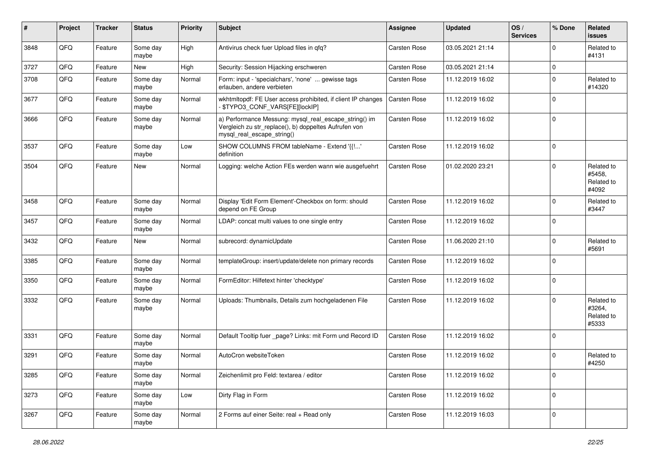| #    | Project | <b>Tracker</b> | <b>Status</b>     | <b>Priority</b> | <b>Subject</b>                                                                                                                               | <b>Assignee</b>     | <b>Updated</b>   | OS/<br><b>Services</b> | % Done      | Related<br>issues                           |
|------|---------|----------------|-------------------|-----------------|----------------------------------------------------------------------------------------------------------------------------------------------|---------------------|------------------|------------------------|-------------|---------------------------------------------|
| 3848 | QFQ     | Feature        | Some day<br>maybe | High            | Antivirus check fuer Upload files in qfq?                                                                                                    | <b>Carsten Rose</b> | 03.05.2021 21:14 |                        | $\mathbf 0$ | Related to<br>#4131                         |
| 3727 | QFQ     | Feature        | New               | High            | Security: Session Hijacking erschweren                                                                                                       | Carsten Rose        | 03.05.2021 21:14 |                        | 0           |                                             |
| 3708 | QFQ     | Feature        | Some day<br>maybe | Normal          | Form: input - 'specialchars', 'none'  gewisse tags<br>erlauben, andere verbieten                                                             | Carsten Rose        | 11.12.2019 16:02 |                        | $\Omega$    | Related to<br>#14320                        |
| 3677 | QFQ     | Feature        | Some day<br>maybe | Normal          | wkhtmltopdf: FE User access prohibited, if client IP changes<br>\$TYPO3_CONF_VARS[FE][lockIP]                                                | Carsten Rose        | 11.12.2019 16:02 |                        | $\mathbf 0$ |                                             |
| 3666 | QFQ     | Feature        | Some day<br>maybe | Normal          | a) Performance Messung: mysql_real_escape_string() im<br>Vergleich zu str_replace(), b) doppeltes Aufrufen von<br>mysql_real_escape_string() | Carsten Rose        | 11.12.2019 16:02 |                        | $\mathbf 0$ |                                             |
| 3537 | QFQ     | Feature        | Some day<br>maybe | Low             | SHOW COLUMNS FROM tableName - Extend '{{!'<br>definition                                                                                     | Carsten Rose        | 11.12.2019 16:02 |                        | $\Omega$    |                                             |
| 3504 | QFQ     | Feature        | New               | Normal          | Logging: welche Action FEs werden wann wie ausgefuehrt                                                                                       | <b>Carsten Rose</b> | 01.02.2020 23:21 |                        | $\mathbf 0$ | Related to<br>#5458,<br>Related to<br>#4092 |
| 3458 | QFQ     | Feature        | Some day<br>maybe | Normal          | Display 'Edit Form Element'-Checkbox on form: should<br>depend on FE Group                                                                   | Carsten Rose        | 11.12.2019 16:02 |                        | $\mathbf 0$ | Related to<br>#3447                         |
| 3457 | QFQ     | Feature        | Some day<br>maybe | Normal          | LDAP: concat multi values to one single entry                                                                                                | Carsten Rose        | 11.12.2019 16:02 |                        | $\mathbf 0$ |                                             |
| 3432 | QFQ     | Feature        | <b>New</b>        | Normal          | subrecord: dynamicUpdate                                                                                                                     | Carsten Rose        | 11.06.2020 21:10 |                        | $\mathbf 0$ | Related to<br>#5691                         |
| 3385 | QFQ     | Feature        | Some day<br>maybe | Normal          | templateGroup: insert/update/delete non primary records                                                                                      | <b>Carsten Rose</b> | 11.12.2019 16:02 |                        | $\mathbf 0$ |                                             |
| 3350 | QFQ     | Feature        | Some day<br>maybe | Normal          | FormEditor: Hilfetext hinter 'checktype'                                                                                                     | Carsten Rose        | 11.12.2019 16:02 |                        | $\mathbf 0$ |                                             |
| 3332 | QFQ     | Feature        | Some day<br>maybe | Normal          | Uploads: Thumbnails, Details zum hochgeladenen File                                                                                          | <b>Carsten Rose</b> | 11.12.2019 16:02 |                        | $\Omega$    | Related to<br>#3264,<br>Related to<br>#5333 |
| 3331 | QFQ     | Feature        | Some day<br>maybe | Normal          | Default Tooltip fuer _page? Links: mit Form und Record ID                                                                                    | Carsten Rose        | 11.12.2019 16:02 |                        | $\mathbf 0$ |                                             |
| 3291 | QFQ     | Feature        | Some day<br>maybe | Normal          | AutoCron websiteToken                                                                                                                        | Carsten Rose        | 11.12.2019 16:02 |                        | $\mathbf 0$ | Related to<br>#4250                         |
| 3285 | QFG     | Feature        | Some day<br>maybe | Normal          | Zeichenlimit pro Feld: textarea / editor                                                                                                     | Carsten Rose        | 11.12.2019 16:02 |                        | $\mathbf 0$ |                                             |
| 3273 | QFQ     | Feature        | Some day<br>maybe | Low             | Dirty Flag in Form                                                                                                                           | Carsten Rose        | 11.12.2019 16:02 |                        | $\pmb{0}$   |                                             |
| 3267 | QFQ     | Feature        | Some day<br>maybe | Normal          | 2 Forms auf einer Seite: real + Read only                                                                                                    | Carsten Rose        | 11.12.2019 16:03 |                        | $\pmb{0}$   |                                             |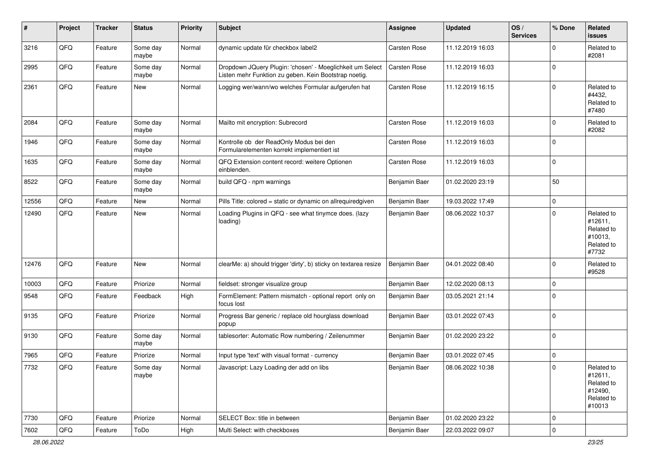| #     | Project | <b>Tracker</b> | <b>Status</b>     | <b>Priority</b> | <b>Subject</b>                                                                                                     | <b>Assignee</b> | <b>Updated</b>   | OS/<br><b>Services</b> | % Done      | Related<br>issues                                                      |
|-------|---------|----------------|-------------------|-----------------|--------------------------------------------------------------------------------------------------------------------|-----------------|------------------|------------------------|-------------|------------------------------------------------------------------------|
| 3216  | QFQ     | Feature        | Some day<br>maybe | Normal          | dynamic update für checkbox label2                                                                                 | Carsten Rose    | 11.12.2019 16:03 |                        | $\Omega$    | Related to<br>#2081                                                    |
| 2995  | QFQ     | Feature        | Some day<br>maybe | Normal          | Dropdown JQuery Plugin: 'chosen' - Moeglichkeit um Select<br>Listen mehr Funktion zu geben. Kein Bootstrap noetig. | Carsten Rose    | 11.12.2019 16:03 |                        | $\Omega$    |                                                                        |
| 2361  | QFQ     | Feature        | New               | Normal          | Logging wer/wann/wo welches Formular aufgerufen hat                                                                | Carsten Rose    | 11.12.2019 16:15 |                        | $\Omega$    | Related to<br>#4432,<br>Related to<br>#7480                            |
| 2084  | QFQ     | Feature        | Some day<br>maybe | Normal          | Mailto mit encryption: Subrecord                                                                                   | Carsten Rose    | 11.12.2019 16:03 |                        | $\mathbf 0$ | Related to<br>#2082                                                    |
| 1946  | QFQ     | Feature        | Some day<br>maybe | Normal          | Kontrolle ob der ReadOnly Modus bei den<br>Formularelementen korrekt implementiert ist                             | Carsten Rose    | 11.12.2019 16:03 |                        | $\Omega$    |                                                                        |
| 1635  | QFQ     | Feature        | Some day<br>maybe | Normal          | QFQ Extension content record: weitere Optionen<br>einblenden.                                                      | Carsten Rose    | 11.12.2019 16:03 |                        | $\mathbf 0$ |                                                                        |
| 8522  | QFQ     | Feature        | Some day<br>maybe | Normal          | build QFQ - npm warnings                                                                                           | Benjamin Baer   | 01.02.2020 23:19 |                        | 50          |                                                                        |
| 12556 | QFQ     | Feature        | <b>New</b>        | Normal          | Pills Title: colored = static or dynamic on allrequiredgiven                                                       | Benjamin Baer   | 19.03.2022 17:49 |                        | $\pmb{0}$   |                                                                        |
| 12490 | QFQ     | Feature        | New               | Normal          | Loading Plugins in QFQ - see what tinymce does. (lazy<br>loading)                                                  | Benjamin Baer   | 08.06.2022 10:37 |                        | $\mathbf 0$ | Related to<br>#12611,<br>Related to<br>#10013.<br>Related to<br>#7732  |
| 12476 | QFQ     | Feature        | New               | Normal          | clearMe: a) should trigger 'dirty', b) sticky on textarea resize                                                   | Benjamin Baer   | 04.01.2022 08:40 |                        | $\Omega$    | Related to<br>#9528                                                    |
| 10003 | QFQ     | Feature        | Priorize          | Normal          | fieldset: stronger visualize group                                                                                 | Benjamin Baer   | 12.02.2020 08:13 |                        | $\mathbf 0$ |                                                                        |
| 9548  | QFQ     | Feature        | Feedback          | High            | FormElement: Pattern mismatch - optional report only on<br>focus lost                                              | Benjamin Baer   | 03.05.2021 21:14 |                        | $\Omega$    |                                                                        |
| 9135  | QFQ     | Feature        | Priorize          | Normal          | Progress Bar generic / replace old hourglass download<br>popup                                                     | Benjamin Baer   | 03.01.2022 07:43 |                        | $\Omega$    |                                                                        |
| 9130  | QFQ     | Feature        | Some day<br>maybe | Normal          | tablesorter: Automatic Row numbering / Zeilenummer                                                                 | Benjamin Baer   | 01.02.2020 23:22 |                        | $\mathbf 0$ |                                                                        |
| 7965  | QFQ     | Feature        | Priorize          | Normal          | Input type 'text' with visual format - currency                                                                    | Benjamin Baer   | 03.01.2022 07:45 |                        | $\mathbf 0$ |                                                                        |
| 7732  | QFQ     | Feature        | Some day<br>maybe | Normal          | Javascript: Lazy Loading der add on libs                                                                           | Benjamin Baer   | 08.06.2022 10:38 |                        | $\pmb{0}$   | Related to<br>#12611,<br>Related to<br>#12490,<br>Related to<br>#10013 |
| 7730  | QFQ     | Feature        | Priorize          | Normal          | SELECT Box: title in between                                                                                       | Benjamin Baer   | 01.02.2020 23:22 |                        | $\mathbf 0$ |                                                                        |
| 7602  | QFQ     | Feature        | ToDo              | High            | Multi Select: with checkboxes                                                                                      | Benjamin Baer   | 22.03.2022 09:07 |                        | $\pmb{0}$   |                                                                        |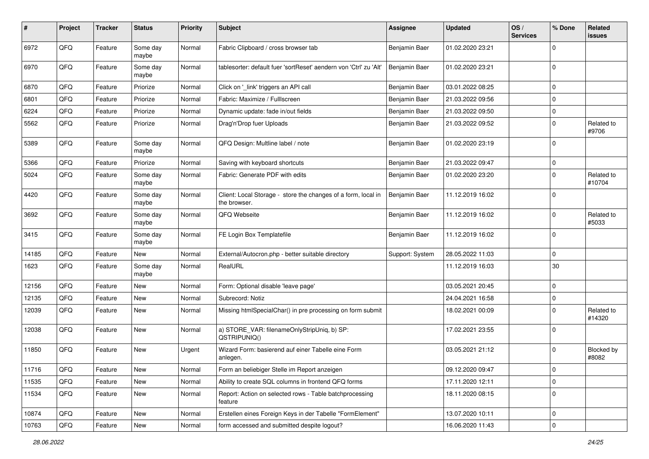| #     | Project | <b>Tracker</b> | <b>Status</b>     | <b>Priority</b> | <b>Subject</b>                                                                | <b>Assignee</b> | <b>Updated</b>   | OS/<br><b>Services</b> | % Done      | <b>Related</b><br>issues |
|-------|---------|----------------|-------------------|-----------------|-------------------------------------------------------------------------------|-----------------|------------------|------------------------|-------------|--------------------------|
| 6972  | QFQ     | Feature        | Some day<br>maybe | Normal          | Fabric Clipboard / cross browser tab                                          | Benjamin Baer   | 01.02.2020 23:21 |                        | $\mathbf 0$ |                          |
| 6970  | QFQ     | Feature        | Some day<br>maybe | Normal          | tablesorter: default fuer 'sortReset' aendern von 'Ctrl' zu 'Alt'             | Benjamin Baer   | 01.02.2020 23:21 |                        | $\mathbf 0$ |                          |
| 6870  | QFQ     | Feature        | Priorize          | Normal          | Click on '_link' triggers an API call                                         | Benjamin Baer   | 03.01.2022 08:25 |                        | $\mathbf 0$ |                          |
| 6801  | QFQ     | Feature        | Priorize          | Normal          | Fabric: Maximize / Fulllscreen                                                | Benjamin Baer   | 21.03.2022 09:56 |                        | $\mathbf 0$ |                          |
| 6224  | QFQ     | Feature        | Priorize          | Normal          | Dynamic update: fade in/out fields                                            | Benjamin Baer   | 21.03.2022 09:50 |                        | $\Omega$    |                          |
| 5562  | QFQ     | Feature        | Priorize          | Normal          | Drag'n'Drop fuer Uploads                                                      | Benjamin Baer   | 21.03.2022 09:52 |                        | $\Omega$    | Related to<br>#9706      |
| 5389  | QFQ     | Feature        | Some day<br>maybe | Normal          | QFQ Design: Multline label / note                                             | Benjamin Baer   | 01.02.2020 23:19 |                        | $\mathbf 0$ |                          |
| 5366  | QFQ     | Feature        | Priorize          | Normal          | Saving with keyboard shortcuts                                                | Benjamin Baer   | 21.03.2022 09:47 |                        | $\mathbf 0$ |                          |
| 5024  | QFQ     | Feature        | Some day<br>maybe | Normal          | Fabric: Generate PDF with edits                                               | Benjamin Baer   | 01.02.2020 23:20 |                        | $\mathbf 0$ | Related to<br>#10704     |
| 4420  | QFQ     | Feature        | Some day<br>maybe | Normal          | Client: Local Storage - store the changes of a form, local in<br>the browser. | Benjamin Baer   | 11.12.2019 16:02 |                        | $\Omega$    |                          |
| 3692  | QFQ     | Feature        | Some day<br>maybe | Normal          | QFQ Webseite                                                                  | Benjamin Baer   | 11.12.2019 16:02 |                        | $\mathbf 0$ | Related to<br>#5033      |
| 3415  | QFQ     | Feature        | Some day<br>maybe | Normal          | FE Login Box Templatefile                                                     | Benjamin Baer   | 11.12.2019 16:02 |                        | $\Omega$    |                          |
| 14185 | QFQ     | Feature        | <b>New</b>        | Normal          | External/Autocron.php - better suitable directory                             | Support: System | 28.05.2022 11:03 |                        | $\mathbf 0$ |                          |
| 1623  | QFQ     | Feature        | Some day<br>maybe | Normal          | RealURL                                                                       |                 | 11.12.2019 16:03 |                        | 30          |                          |
| 12156 | QFQ     | Feature        | New               | Normal          | Form: Optional disable 'leave page'                                           |                 | 03.05.2021 20:45 |                        | $\mathbf 0$ |                          |
| 12135 | QFQ     | Feature        | New               | Normal          | Subrecord: Notiz                                                              |                 | 24.04.2021 16:58 |                        | $\mathbf 0$ |                          |
| 12039 | QFQ     | Feature        | <b>New</b>        | Normal          | Missing htmlSpecialChar() in pre processing on form submit                    |                 | 18.02.2021 00:09 |                        | $\Omega$    | Related to<br>#14320     |
| 12038 | QFQ     | Feature        | <b>New</b>        | Normal          | a) STORE_VAR: filenameOnlyStripUniq, b) SP:<br>QSTRIPUNIQ()                   |                 | 17.02.2021 23:55 |                        | $\Omega$    |                          |
| 11850 | QFQ     | Feature        | <b>New</b>        | Urgent          | Wizard Form: basierend auf einer Tabelle eine Form<br>anlegen.                |                 | 03.05.2021 21:12 |                        | $\mathbf 0$ | Blocked by<br>#8082      |
| 11716 | QFQ     | Feature        | New               | Normal          | Form an beliebiger Stelle im Report anzeigen                                  |                 | 09.12.2020 09:47 |                        | 0           |                          |
| 11535 | QFQ     | Feature        | New               | Normal          | Ability to create SQL columns in frontend QFQ forms                           |                 | 17.11.2020 12:11 |                        | $\mathbf 0$ |                          |
| 11534 | QFQ     | Feature        | New               | Normal          | Report: Action on selected rows - Table batchprocessing<br>feature            |                 | 18.11.2020 08:15 |                        | $\mathbf 0$ |                          |
| 10874 | QFQ     | Feature        | New               | Normal          | Erstellen eines Foreign Keys in der Tabelle "FormElement"                     |                 | 13.07.2020 10:11 |                        | $\mathbf 0$ |                          |
| 10763 | QFQ     | Feature        | New               | Normal          | form accessed and submitted despite logout?                                   |                 | 16.06.2020 11:43 |                        | $\mathbf 0$ |                          |